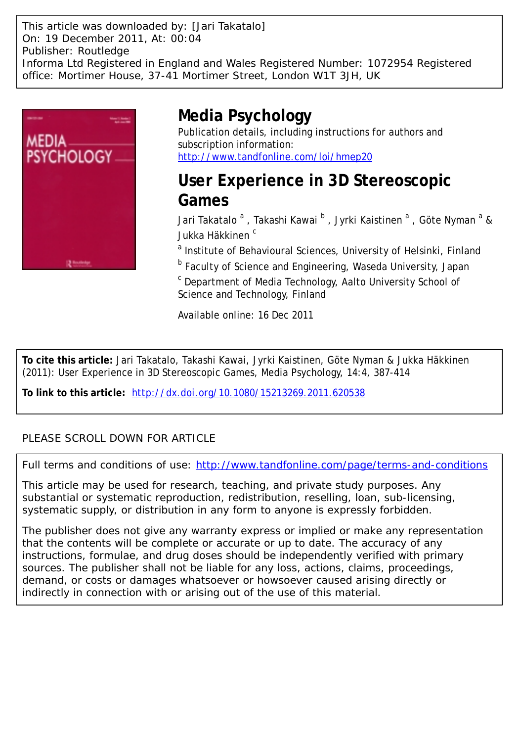This article was downloaded by: [Jari Takatalo] On: 19 December 2011, At: 00:04 Publisher: Routledge Informa Ltd Registered in England and Wales Registered Number: 1072954 Registered office: Mortimer House, 37-41 Mortimer Street, London W1T 3JH, UK



# **Media Psychology**

Publication details, including instructions for authors and subscription information: <http://www.tandfonline.com/loi/hmep20>

**User Experience in 3D Stereoscopic Games**

Jari Takatalo <sup>a</sup> , Takashi Kawai <sup>b</sup> , Jyrki Kaistinen <sup>a</sup> , Göte Nyman <sup>a</sup> & Jukka Häkkinen<sup>c</sup>

<sup>a</sup> Institute of Behavioural Sciences, University of Helsinki, Finland

**b** Faculty of Science and Engineering, Waseda University, Japan

<sup>c</sup> Department of Media Technology, Aalto University School of Science and Technology, Finland

Available online: 16 Dec 2011

**To cite this article:** Jari Takatalo, Takashi Kawai, Jyrki Kaistinen, Göte Nyman & Jukka Häkkinen (2011): User Experience in 3D Stereoscopic Games, Media Psychology, 14:4, 387-414

**To link to this article:** <http://dx.doi.org/10.1080/15213269.2011.620538>

# PLEASE SCROLL DOWN FOR ARTICLE

Full terms and conditions of use:<http://www.tandfonline.com/page/terms-and-conditions>

This article may be used for research, teaching, and private study purposes. Any substantial or systematic reproduction, redistribution, reselling, loan, sub-licensing, systematic supply, or distribution in any form to anyone is expressly forbidden.

The publisher does not give any warranty express or implied or make any representation that the contents will be complete or accurate or up to date. The accuracy of any instructions, formulae, and drug doses should be independently verified with primary sources. The publisher shall not be liable for any loss, actions, claims, proceedings, demand, or costs or damages whatsoever or howsoever caused arising directly or indirectly in connection with or arising out of the use of this material.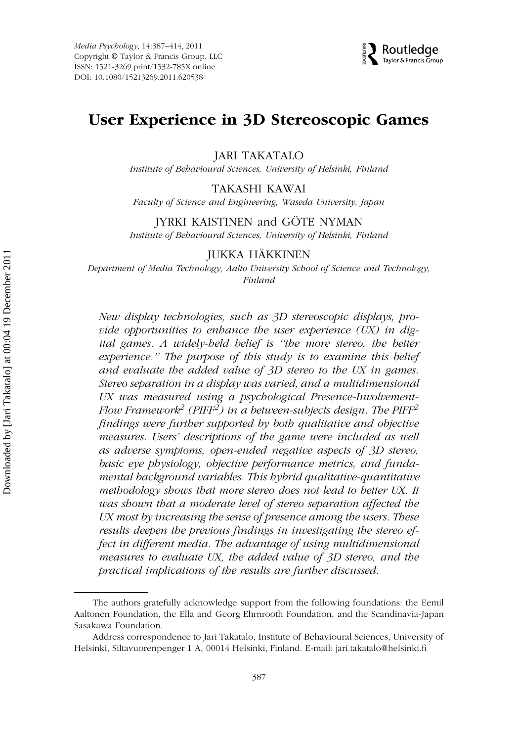

# User Experience in 3D Stereoscopic Games

JARI TAKATALO

Institute of Behavioural Sciences, University of Helsinki, Finland

#### TAKASHI KAWAI

Faculty of Science and Engineering, Waseda University, Japan

# JYRKI KAISTINEN and GÖTE NYMAN

Institute of Behavioural Sciences, University of Helsinki, Finland

### JUKKA HÄKKINEN

Department of Media Technology, Aalto University School of Science and Technology, Finland

New display technologies, such as 3D stereoscopic displays, provide opportunities to enhance the user experience (UX) in digital games. A widely-held belief is ''the more stereo, the better experience.'' The purpose of this study is to examine this belief and evaluate the added value of 3D stereo to the UX in games. Stereo separation in a display was varied, and a multidimensional UX was measured using a psychological Presence-Involvement-Flow Framework $^2$  (PIFF $^2$ ) in a between-subjects design. The PIFF $^2$ findings were further supported by both qualitative and objective measures. Users' descriptions of the game were included as well as adverse symptoms, open-ended negative aspects of 3D stereo, basic eye physiology, objective performance metrics, and fundamental background variables. This hybrid qualitative-quantitative methodology shows that more stereo does not lead to better UX. It was shown that a moderate level of stereo separation affected the UX most by increasing the sense of presence among the users. These results deepen the previous findings in investigating the stereo effect in different media. The advantage of using multidimensional measures to evaluate UX, the added value of 3D stereo, and the practical implications of the results are further discussed.

The authors gratefully acknowledge support from the following foundations: the Eemil Aaltonen Foundation, the Ella and Georg Ehrnrooth Foundation, and the Scandinavia-Japan Sasakawa Foundation.

Address correspondence to Jari Takatalo, Institute of Behavioural Sciences, University of Helsinki, Siltavuorenpenger 1 A, 00014 Helsinki, Finland. E-mail: jari.takatalo@helsinki.fi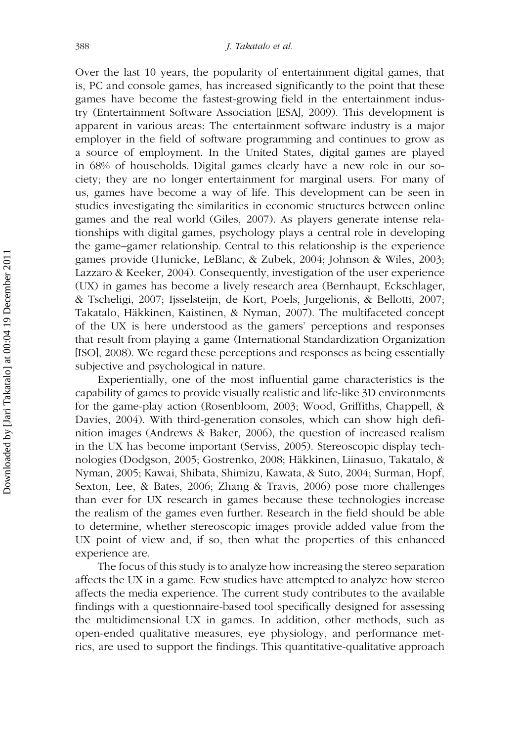Over the last 10 years, the popularity of entertainment digital games, that is, PC and console games, has increased significantly to the point that these games have become the fastest-growing field in the entertainment industry (Entertainment Software Association [ESA], 2009). This development is apparent in various areas: The entertainment software industry is a major employer in the field of software programming and continues to grow as a source of employment. In the United States, digital games are played in 68% of households. Digital games clearly have a new role in our society; they are no longer entertainment for marginal users. For many of us, games have become a way of life. This development can be seen in studies investigating the similarities in economic structures between online games and the real world (Giles, 2007). As players generate intense relationships with digital games, psychology plays a central role in developing the game–gamer relationship. Central to this relationship is the experience games provide (Hunicke, LeBlanc, & Zubek, 2004; Johnson & Wiles, 2003; Lazzaro & Keeker, 2004). Consequently, investigation of the user experience (UX) in games has become a lively research area (Bernhaupt, Eckschlager, & Tscheligi, 2007; Ijsselsteijn, de Kort, Poels, Jurgelionis, & Bellotti, 2007; Takatalo, Häkkinen, Kaistinen, & Nyman, 2007). The multifaceted concept of the UX is here understood as the gamers' perceptions and responses that result from playing a game (International Standardization Organization [ISO], 2008). We regard these perceptions and responses as being essentially subjective and psychological in nature.

Experientially, one of the most influential game characteristics is the capability of games to provide visually realistic and life-like 3D environments for the game-play action (Rosenbloom, 2003; Wood, Griffiths, Chappell, & Davies, 2004). With third-generation consoles, which can show high definition images (Andrews & Baker, 2006), the question of increased realism in the UX has become important (Serviss, 2005). Stereoscopic display technologies (Dodgson, 2005; Gostrenko, 2008; Häkkinen, Liinasuo, Takatalo, & Nyman, 2005; Kawai, Shibata, Shimizu, Kawata, & Suto, 2004; Surman, Hopf, Sexton, Lee, & Bates, 2006; Zhang & Travis, 2006) pose more challenges than ever for UX research in games because these technologies increase the realism of the games even further. Research in the field should be able to determine, whether stereoscopic images provide added value from the UX point of view and, if so, then what the properties of this enhanced experience are.

The focus of this study is to analyze how increasing the stereo separation affects the UX in a game. Few studies have attempted to analyze how stereo affects the media experience. The current study contributes to the available findings with a questionnaire-based tool specifically designed for assessing the multidimensional UX in games. In addition, other methods, such as open-ended qualitative measures, eye physiology, and performance metrics, are used to support the findings. This quantitative-qualitative approach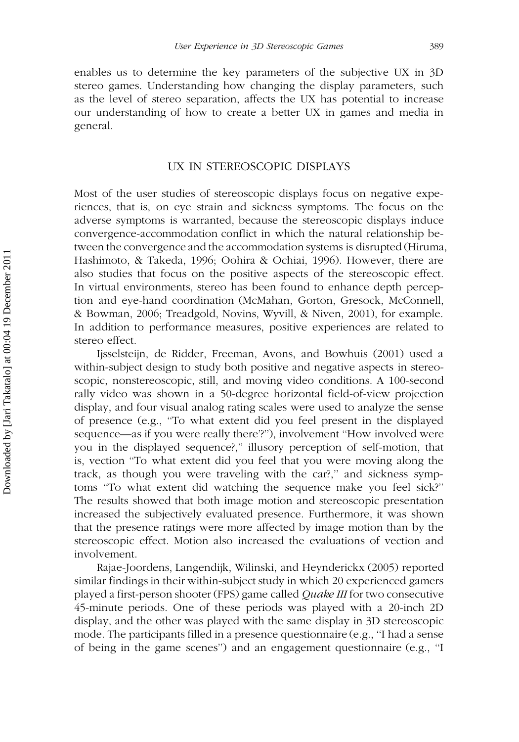enables us to determine the key parameters of the subjective UX in 3D stereo games. Understanding how changing the display parameters, such as the level of stereo separation, affects the UX has potential to increase our understanding of how to create a better UX in games and media in general.

#### UX IN STEREOSCOPIC DISPLAYS

Most of the user studies of stereoscopic displays focus on negative experiences, that is, on eye strain and sickness symptoms. The focus on the adverse symptoms is warranted, because the stereoscopic displays induce convergence-accommodation conflict in which the natural relationship between the convergence and the accommodation systems is disrupted (Hiruma, Hashimoto, & Takeda, 1996; Oohira & Ochiai, 1996). However, there are also studies that focus on the positive aspects of the stereoscopic effect. In virtual environments, stereo has been found to enhance depth perception and eye-hand coordination (McMahan, Gorton, Gresock, McConnell, & Bowman, 2006; Treadgold, Novins, Wyvill, & Niven, 2001), for example. In addition to performance measures, positive experiences are related to stereo effect.

Ijsselsteijn, de Ridder, Freeman, Avons, and Bowhuis (2001) used a within-subject design to study both positive and negative aspects in stereoscopic, nonstereoscopic, still, and moving video conditions. A 100-second rally video was shown in a 50-degree horizontal field-of-view projection display, and four visual analog rating scales were used to analyze the sense of presence (e.g., ''To what extent did you feel present in the displayed sequence—as if you were really there'?''), involvement ''How involved were you in the displayed sequence?," illusory perception of self-motion, that is, vection ''To what extent did you feel that you were moving along the track, as though you were traveling with the car?,'' and sickness symptoms ''To what extent did watching the sequence make you feel sick?'' The results showed that both image motion and stereoscopic presentation increased the subjectively evaluated presence. Furthermore, it was shown that the presence ratings were more affected by image motion than by the stereoscopic effect. Motion also increased the evaluations of vection and involvement.

Rajae-Joordens, Langendijk, Wilinski, and Heynderickx (2005) reported similar findings in their within-subject study in which 20 experienced gamers played a first-person shooter (FPS) game called Quake III for two consecutive 45-minute periods. One of these periods was played with a 20-inch 2D display, and the other was played with the same display in 3D stereoscopic mode. The participants filled in a presence questionnaire (e.g., ''I had a sense of being in the game scenes'') and an engagement questionnaire (e.g., ''I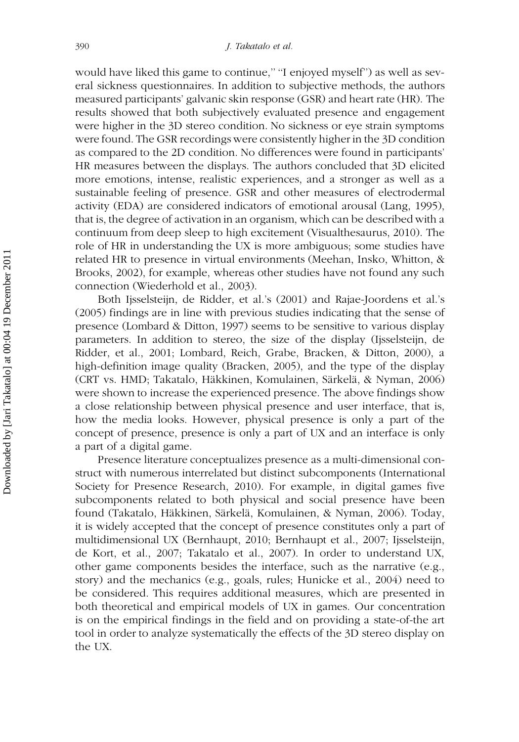would have liked this game to continue," "I enjoyed myself") as well as several sickness questionnaires. In addition to subjective methods, the authors measured participants' galvanic skin response (GSR) and heart rate (HR). The results showed that both subjectively evaluated presence and engagement were higher in the 3D stereo condition. No sickness or eye strain symptoms were found. The GSR recordings were consistently higher in the 3D condition as compared to the 2D condition. No differences were found in participants' HR measures between the displays. The authors concluded that 3D elicited more emotions, intense, realistic experiences, and a stronger as well as a sustainable feeling of presence. GSR and other measures of electrodermal activity (EDA) are considered indicators of emotional arousal (Lang, 1995), that is, the degree of activation in an organism, which can be described with a continuum from deep sleep to high excitement (Visualthesaurus, 2010). The role of HR in understanding the UX is more ambiguous; some studies have related HR to presence in virtual environments (Meehan, Insko, Whitton, & Brooks, 2002), for example, whereas other studies have not found any such connection (Wiederhold et al., 2003).

Both Ijsselsteijn, de Ridder, et al.'s (2001) and Rajae-Joordens et al.'s (2005) findings are in line with previous studies indicating that the sense of presence (Lombard & Ditton, 1997) seems to be sensitive to various display parameters. In addition to stereo, the size of the display (Ijsselsteijn, de Ridder, et al., 2001; Lombard, Reich, Grabe, Bracken, & Ditton, 2000), a high-definition image quality (Bracken, 2005), and the type of the display (CRT vs. HMD; Takatalo, Häkkinen, Komulainen, Särkelä, & Nyman, 2006) were shown to increase the experienced presence. The above findings show a close relationship between physical presence and user interface, that is, how the media looks. However, physical presence is only a part of the concept of presence, presence is only a part of UX and an interface is only a part of a digital game.

Presence literature conceptualizes presence as a multi-dimensional construct with numerous interrelated but distinct subcomponents (International Society for Presence Research, 2010). For example, in digital games five subcomponents related to both physical and social presence have been found (Takatalo, Häkkinen, Särkelä, Komulainen, & Nyman, 2006). Today, it is widely accepted that the concept of presence constitutes only a part of multidimensional UX (Bernhaupt, 2010; Bernhaupt et al., 2007; Ijsselsteijn, de Kort, et al., 2007; Takatalo et al., 2007). In order to understand UX, other game components besides the interface, such as the narrative (e.g., story) and the mechanics (e.g., goals, rules; Hunicke et al., 2004) need to be considered. This requires additional measures, which are presented in both theoretical and empirical models of UX in games. Our concentration is on the empirical findings in the field and on providing a state-of-the art tool in order to analyze systematically the effects of the 3D stereo display on the UX.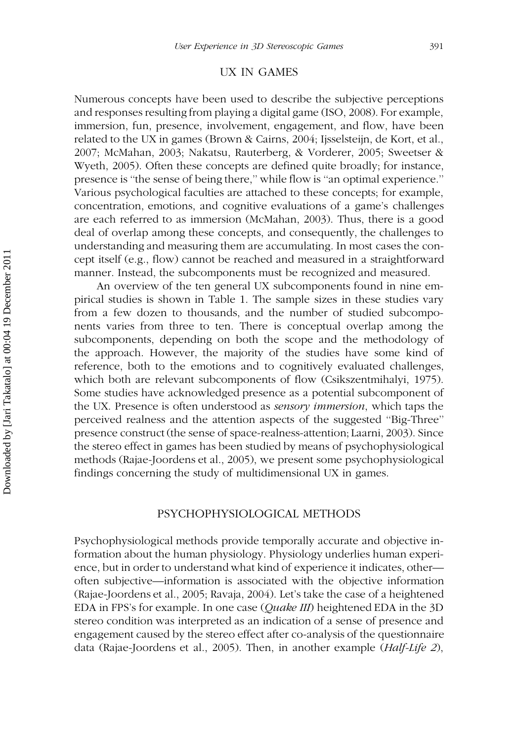#### UX IN GAMES

Numerous concepts have been used to describe the subjective perceptions and responses resulting from playing a digital game (ISO, 2008). For example, immersion, fun, presence, involvement, engagement, and flow, have been related to the UX in games (Brown & Cairns, 2004; Ijsselsteijn, de Kort, et al., 2007; McMahan, 2003; Nakatsu, Rauterberg, & Vorderer, 2005; Sweetser & Wyeth, 2005). Often these concepts are defined quite broadly; for instance, presence is ''the sense of being there,'' while flow is ''an optimal experience.'' Various psychological faculties are attached to these concepts; for example, concentration, emotions, and cognitive evaluations of a game's challenges are each referred to as immersion (McMahan, 2003). Thus, there is a good deal of overlap among these concepts, and consequently, the challenges to understanding and measuring them are accumulating. In most cases the concept itself (e.g., flow) cannot be reached and measured in a straightforward manner. Instead, the subcomponents must be recognized and measured.

An overview of the ten general UX subcomponents found in nine empirical studies is shown in Table 1. The sample sizes in these studies vary from a few dozen to thousands, and the number of studied subcomponents varies from three to ten. There is conceptual overlap among the subcomponents, depending on both the scope and the methodology of the approach. However, the majority of the studies have some kind of reference, both to the emotions and to cognitively evaluated challenges, which both are relevant subcomponents of flow (Csikszentmihalyi, 1975). Some studies have acknowledged presence as a potential subcomponent of the UX. Presence is often understood as sensory immersion, which taps the perceived realness and the attention aspects of the suggested ''Big-Three'' presence construct (the sense of space-realness-attention; Laarni, 2003). Since the stereo effect in games has been studied by means of psychophysiological methods (Rajae-Joordens et al., 2005), we present some psychophysiological findings concerning the study of multidimensional UX in games.

#### PSYCHOPHYSIOLOGICAL METHODS

Psychophysiological methods provide temporally accurate and objective information about the human physiology. Physiology underlies human experience, but in order to understand what kind of experience it indicates, other often subjective—information is associated with the objective information (Rajae-Joordens et al., 2005; Ravaja, 2004). Let's take the case of a heightened EDA in FPS's for example. In one case (*Quake III*) heightened EDA in the 3D stereo condition was interpreted as an indication of a sense of presence and engagement caused by the stereo effect after co-analysis of the questionnaire data (Rajae-Joordens et al., 2005). Then, in another example (Half-Life 2),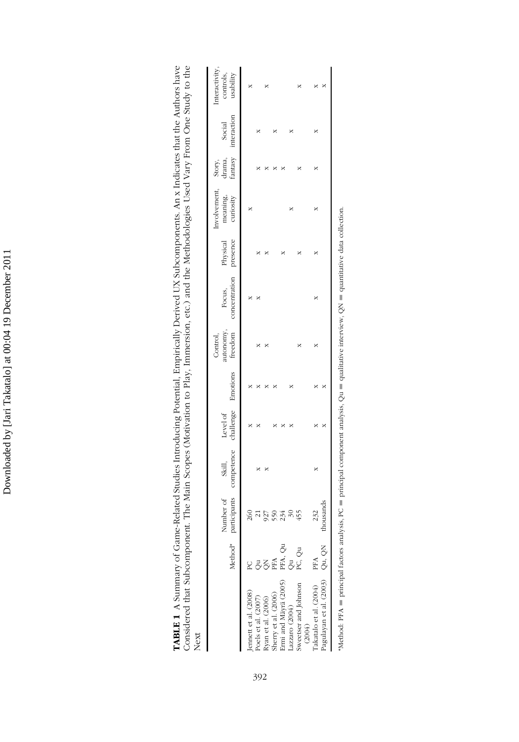Downloaded by [Jari Takatalo] at 00:04 19 December 2011 Downloaded by [Jari Takatalo] at 00:04 19 December 2011

| -Related Studies Introducing Potential, Empirically Derived UX Subcomponents. An x Indicates that the Authors have<br>t. The Main Scopes (Motivation to Play, Immersion, etc.) and the Methodologies Used Vary From One Study to the |
|--------------------------------------------------------------------------------------------------------------------------------------------------------------------------------------------------------------------------------------|
| ΙeΧ                                                                                                                                                                                                                                  |

|                                                                     | Method <sup>*</sup> par | urticipants<br>umber of<br>ź | competence<br>Skill, | Level of<br>challenge | Emotions | iutonomy,<br>freedom<br>Control, | Focus,<br>concentration | Physical<br>presence | nvolvement<br>meaning,<br>curiosity | Story,<br>drama,<br>fantasy | Social<br>interaction | usability<br>controls<br>teracti |
|---------------------------------------------------------------------|-------------------------|------------------------------|----------------------|-----------------------|----------|----------------------------------|-------------------------|----------------------|-------------------------------------|-----------------------------|-----------------------|----------------------------------|
|                                                                     |                         |                              |                      |                       |          |                                  |                         |                      |                                     |                             |                       |                                  |
| Jennett et al. (2008)<br>Poels et al. (2007)                        |                         |                              |                      |                       |          |                                  |                         |                      |                                     |                             |                       |                                  |
|                                                                     | నె<br>నే                | 727                          |                      |                       |          |                                  |                         |                      |                                     |                             |                       |                                  |
|                                                                     | PFA                     | 550                          |                      |                       |          |                                  |                         |                      |                                     |                             |                       |                                  |
| Ryan et al. (2006)<br>Sherry et al. (2006)<br>Ermi and Mäyrä (2005) |                         |                              |                      |                       |          |                                  |                         |                      |                                     |                             |                       |                                  |
| Lazzaro (2004)                                                      |                         |                              |                      |                       |          |                                  |                         |                      |                                     |                             |                       |                                  |
| Sweetser and Johnson<br>(2004)                                      | PFA, Qu<br>Qu<br>PC, Qu |                              |                      |                       |          |                                  |                         |                      |                                     |                             |                       |                                  |
| Takatalo et al. (2004) PFA                                          |                         |                              |                      |                       |          |                                  |                         |                      |                                     |                             |                       |                                  |
| Pagulayan et al. (2003) Qu, QN                                      |                         | asnd<br>÷                    |                      |                       |          |                                  |                         |                      |                                     |                             |                       |                                  |

"Method: PFA = principal factors analysis, PC = principal component analysis, Qu = qualitative interview, QN = quantitative data collection.  $^{\bullet}$ Method: PFA = principal factors analysis, PC = principal component analysis, Qu = qualitative interview, QN = quantitative data collection.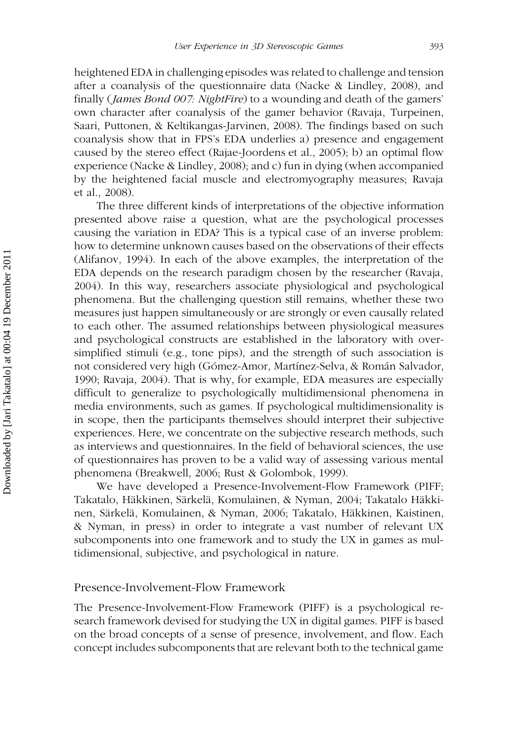heightened EDA in challenging episodes was related to challenge and tension after a coanalysis of the questionnaire data (Nacke & Lindley, 2008), and finally (*James Bond 007: NightFire*) to a wounding and death of the gamers' own character after coanalysis of the gamer behavior (Ravaja, Turpeinen, Saari, Puttonen, & Keltikangas-Jarvinen, 2008). The findings based on such coanalysis show that in FPS's EDA underlies a) presence and engagement caused by the stereo effect (Rajae-Joordens et al., 2005); b) an optimal flow experience (Nacke & Lindley, 2008); and c) fun in dying (when accompanied by the heightened facial muscle and electromyography measures; Ravaja et al., 2008).

The three different kinds of interpretations of the objective information presented above raise a question, what are the psychological processes causing the variation in EDA? This is a typical case of an inverse problem: how to determine unknown causes based on the observations of their effects (Alifanov, 1994). In each of the above examples, the interpretation of the EDA depends on the research paradigm chosen by the researcher (Ravaja, 2004). In this way, researchers associate physiological and psychological phenomena. But the challenging question still remains, whether these two measures just happen simultaneously or are strongly or even causally related to each other. The assumed relationships between physiological measures and psychological constructs are established in the laboratory with oversimplified stimuli (e.g., tone pips), and the strength of such association is not considered very high (Gómez-Amor, Martínez-Selva, & Román Salvador, 1990; Ravaja, 2004). That is why, for example, EDA measures are especially difficult to generalize to psychologically multidimensional phenomena in media environments, such as games. If psychological multidimensionality is in scope, then the participants themselves should interpret their subjective experiences. Here, we concentrate on the subjective research methods, such as interviews and questionnaires. In the field of behavioral sciences, the use of questionnaires has proven to be a valid way of assessing various mental phenomena (Breakwell, 2006; Rust & Golombok, 1999).

We have developed a Presence-Involvement-Flow Framework (PIFF; Takatalo, Häkkinen, Särkelä, Komulainen, & Nyman, 2004; Takatalo Häkkinen, Särkelä, Komulainen, & Nyman, 2006; Takatalo, Häkkinen, Kaistinen, & Nyman, in press) in order to integrate a vast number of relevant UX subcomponents into one framework and to study the UX in games as multidimensional, subjective, and psychological in nature.

#### Presence-Involvement-Flow Framework

The Presence-Involvement-Flow Framework (PIFF) is a psychological research framework devised for studying the UX in digital games. PIFF is based on the broad concepts of a sense of presence, involvement, and flow. Each concept includes subcomponents that are relevant both to the technical game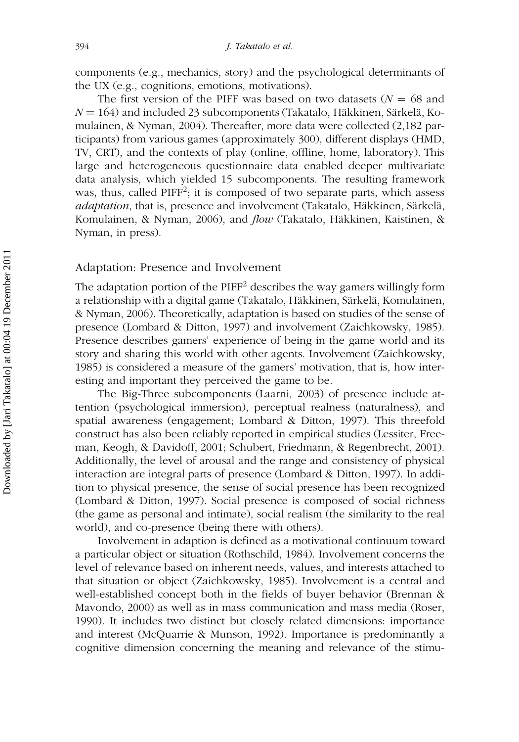components (e.g., mechanics, story) and the psychological determinants of the UX (e.g., cognitions, emotions, motivations).

The first version of the PIFF was based on two datasets ( $N = 68$  and  $N = 164$ ) and included 23 subcomponents (Takatalo, Häkkinen, Särkelä, Komulainen, & Nyman, 2004). Thereafter, more data were collected (2,182 participants) from various games (approximately 300), different displays (HMD, TV, CRT), and the contexts of play (online, offline, home, laboratory). This large and heterogeneous questionnaire data enabled deeper multivariate data analysis, which yielded 15 subcomponents. The resulting framework was, thus, called PIFF<sup>2</sup>; it is composed of two separate parts, which assess adaptation, that is, presence and involvement (Takatalo, Häkkinen, Särkelä, Komulainen, & Nyman, 2006), and flow (Takatalo, Häkkinen, Kaistinen, & Nyman, in press).

#### Adaptation: Presence and Involvement

The adaptation portion of the  $PIFF<sup>2</sup>$  describes the way gamers willingly form a relationship with a digital game (Takatalo, Häkkinen, Särkelä, Komulainen, & Nyman, 2006). Theoretically, adaptation is based on studies of the sense of presence (Lombard & Ditton, 1997) and involvement (Zaichkowsky, 1985). Presence describes gamers' experience of being in the game world and its story and sharing this world with other agents. Involvement (Zaichkowsky, 1985) is considered a measure of the gamers' motivation, that is, how interesting and important they perceived the game to be.

The Big-Three subcomponents (Laarni, 2003) of presence include attention (psychological immersion), perceptual realness (naturalness), and spatial awareness (engagement; Lombard & Ditton, 1997). This threefold construct has also been reliably reported in empirical studies (Lessiter, Freeman, Keogh, & Davidoff, 2001; Schubert, Friedmann, & Regenbrecht, 2001). Additionally, the level of arousal and the range and consistency of physical interaction are integral parts of presence (Lombard & Ditton, 1997). In addition to physical presence, the sense of social presence has been recognized (Lombard & Ditton, 1997). Social presence is composed of social richness (the game as personal and intimate), social realism (the similarity to the real world), and co-presence (being there with others).

Involvement in adaption is defined as a motivational continuum toward a particular object or situation (Rothschild, 1984). Involvement concerns the level of relevance based on inherent needs, values, and interests attached to that situation or object (Zaichkowsky, 1985). Involvement is a central and well-established concept both in the fields of buyer behavior (Brennan & Mavondo, 2000) as well as in mass communication and mass media (Roser, 1990). It includes two distinct but closely related dimensions: importance and interest (McQuarrie & Munson, 1992). Importance is predominantly a cognitive dimension concerning the meaning and relevance of the stimu-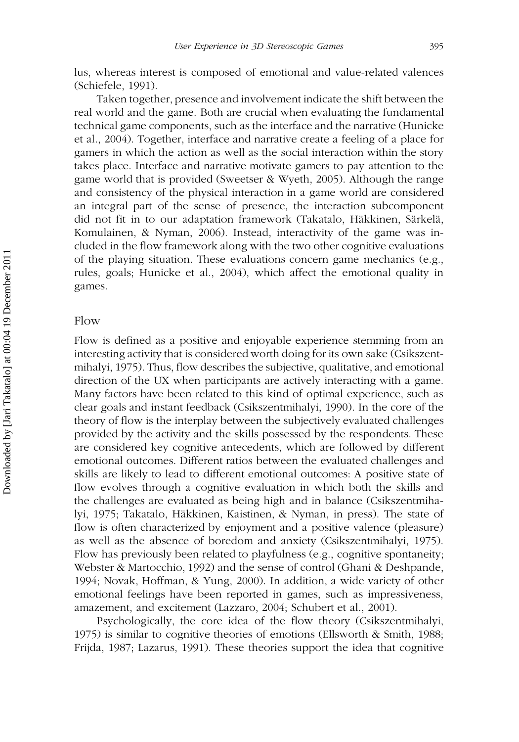lus, whereas interest is composed of emotional and value-related valences (Schiefele, 1991).

Taken together, presence and involvement indicate the shift between the real world and the game. Both are crucial when evaluating the fundamental technical game components, such as the interface and the narrative (Hunicke et al., 2004). Together, interface and narrative create a feeling of a place for gamers in which the action as well as the social interaction within the story takes place. Interface and narrative motivate gamers to pay attention to the game world that is provided (Sweetser & Wyeth, 2005). Although the range and consistency of the physical interaction in a game world are considered an integral part of the sense of presence, the interaction subcomponent did not fit in to our adaptation framework (Takatalo, Häkkinen, Särkelä, Komulainen, & Nyman, 2006). Instead, interactivity of the game was included in the flow framework along with the two other cognitive evaluations of the playing situation. These evaluations concern game mechanics (e.g., rules, goals; Hunicke et al., 2004), which affect the emotional quality in games.

#### Flow

Flow is defined as a positive and enjoyable experience stemming from an interesting activity that is considered worth doing for its own sake (Csikszentmihalyi, 1975). Thus, flow describes the subjective, qualitative, and emotional direction of the UX when participants are actively interacting with a game. Many factors have been related to this kind of optimal experience, such as clear goals and instant feedback (Csikszentmihalyi, 1990). In the core of the theory of flow is the interplay between the subjectively evaluated challenges provided by the activity and the skills possessed by the respondents. These are considered key cognitive antecedents, which are followed by different emotional outcomes. Different ratios between the evaluated challenges and skills are likely to lead to different emotional outcomes: A positive state of flow evolves through a cognitive evaluation in which both the skills and the challenges are evaluated as being high and in balance (Csikszentmihalyi, 1975; Takatalo, Häkkinen, Kaistinen, & Nyman, in press). The state of flow is often characterized by enjoyment and a positive valence (pleasure) as well as the absence of boredom and anxiety (Csikszentmihalyi, 1975). Flow has previously been related to playfulness (e.g., cognitive spontaneity; Webster & Martocchio, 1992) and the sense of control (Ghani & Deshpande, 1994; Novak, Hoffman, & Yung, 2000). In addition, a wide variety of other emotional feelings have been reported in games, such as impressiveness, amazement, and excitement (Lazzaro, 2004; Schubert et al., 2001).

Psychologically, the core idea of the flow theory (Csikszentmihalyi, 1975) is similar to cognitive theories of emotions (Ellsworth & Smith, 1988; Frijda, 1987; Lazarus, 1991). These theories support the idea that cognitive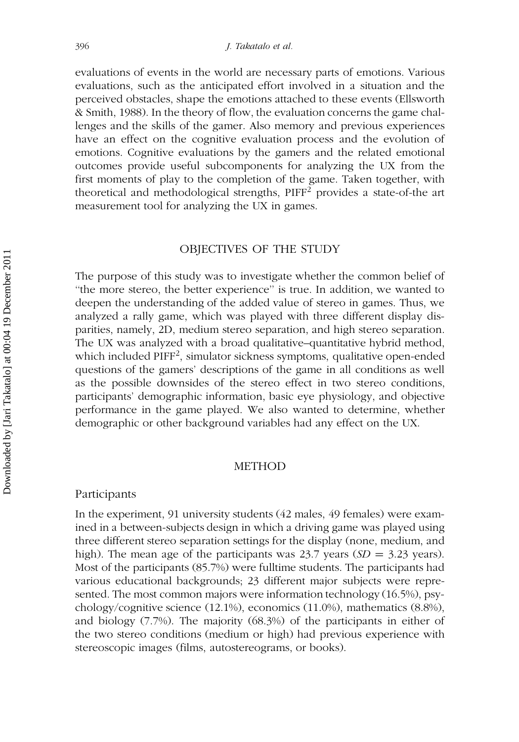evaluations of events in the world are necessary parts of emotions. Various evaluations, such as the anticipated effort involved in a situation and the perceived obstacles, shape the emotions attached to these events (Ellsworth & Smith, 1988). In the theory of flow, the evaluation concerns the game challenges and the skills of the gamer. Also memory and previous experiences have an effect on the cognitive evaluation process and the evolution of emotions. Cognitive evaluations by the gamers and the related emotional outcomes provide useful subcomponents for analyzing the UX from the first moments of play to the completion of the game. Taken together, with theoretical and methodological strengths,  $PIFF<sup>2</sup>$  provides a state-of-the art measurement tool for analyzing the UX in games.

#### OBJECTIVES OF THE STUDY

The purpose of this study was to investigate whether the common belief of "the more stereo, the better experience" is true. In addition, we wanted to deepen the understanding of the added value of stereo in games. Thus, we analyzed a rally game, which was played with three different display disparities, namely, 2D, medium stereo separation, and high stereo separation. The UX was analyzed with a broad qualitative–quantitative hybrid method, which included PIFF<sup>2</sup>, simulator sickness symptoms, qualitative open-ended questions of the gamers' descriptions of the game in all conditions as well as the possible downsides of the stereo effect in two stereo conditions, participants' demographic information, basic eye physiology, and objective performance in the game played. We also wanted to determine, whether demographic or other background variables had any effect on the UX.

#### METHOD

#### Participants

In the experiment, 91 university students (42 males, 49 females) were examined in a between-subjects design in which a driving game was played using three different stereo separation settings for the display (none, medium, and high). The mean age of the participants was 23.7 years ( $SD = 3.23$  years). Most of the participants (85.7%) were fulltime students. The participants had various educational backgrounds; 23 different major subjects were represented. The most common majors were information technology (16.5%), psychology/cognitive science (12.1%), economics (11.0%), mathematics (8.8%), and biology (7.7%). The majority (68.3%) of the participants in either of the two stereo conditions (medium or high) had previous experience with stereoscopic images (films, autostereograms, or books).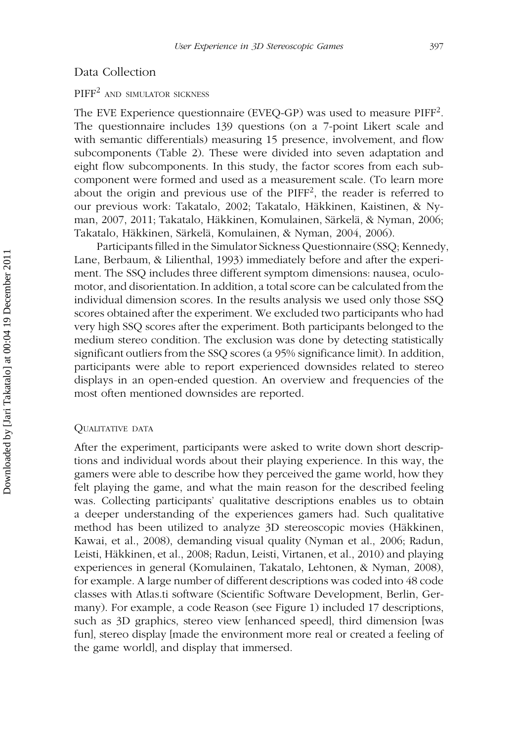#### Data Collection

# PIFF<sup>2</sup> AND SIMULATOR SICKNESS

The EVE Experience questionnaire (EVEQ-GP) was used to measure PIFF<sup>2</sup>. The questionnaire includes 139 questions (on a 7-point Likert scale and with semantic differentials) measuring 15 presence, involvement, and flow subcomponents (Table 2). These were divided into seven adaptation and eight flow subcomponents. In this study, the factor scores from each subcomponent were formed and used as a measurement scale. (To learn more about the origin and previous use of the PIFF<sup>2</sup>, the reader is referred to our previous work: Takatalo, 2002; Takatalo, Häkkinen, Kaistinen, & Nyman, 2007, 2011; Takatalo, Häkkinen, Komulainen, Särkelä, & Nyman, 2006; Takatalo, Häkkinen, Särkelä, Komulainen, & Nyman, 2004, 2006).

Participants filled in the Simulator Sickness Questionnaire (SSQ; Kennedy, Lane, Berbaum, & Lilienthal, 1993) immediately before and after the experiment. The SSQ includes three different symptom dimensions: nausea, oculomotor, and disorientation. In addition, a total score can be calculated from the individual dimension scores. In the results analysis we used only those SSQ scores obtained after the experiment. We excluded two participants who had very high SSQ scores after the experiment. Both participants belonged to the medium stereo condition. The exclusion was done by detecting statistically significant outliers from the SSQ scores (a 95% significance limit). In addition, participants were able to report experienced downsides related to stereo displays in an open-ended question. An overview and frequencies of the most often mentioned downsides are reported.

#### QUALITATIVE DATA

After the experiment, participants were asked to write down short descriptions and individual words about their playing experience. In this way, the gamers were able to describe how they perceived the game world, how they felt playing the game, and what the main reason for the described feeling was. Collecting participants' qualitative descriptions enables us to obtain a deeper understanding of the experiences gamers had. Such qualitative method has been utilized to analyze 3D stereoscopic movies (Häkkinen, Kawai, et al., 2008), demanding visual quality (Nyman et al., 2006; Radun, Leisti, Häkkinen, et al., 2008; Radun, Leisti, Virtanen, et al., 2010) and playing experiences in general (Komulainen, Takatalo, Lehtonen, & Nyman, 2008), for example. A large number of different descriptions was coded into 48 code classes with Atlas.ti software (Scientific Software Development, Berlin, Germany). For example, a code Reason (see Figure 1) included 17 descriptions, such as 3D graphics, stereo view [enhanced speed], third dimension [was fun], stereo display [made the environment more real or created a feeling of the game world], and display that immersed.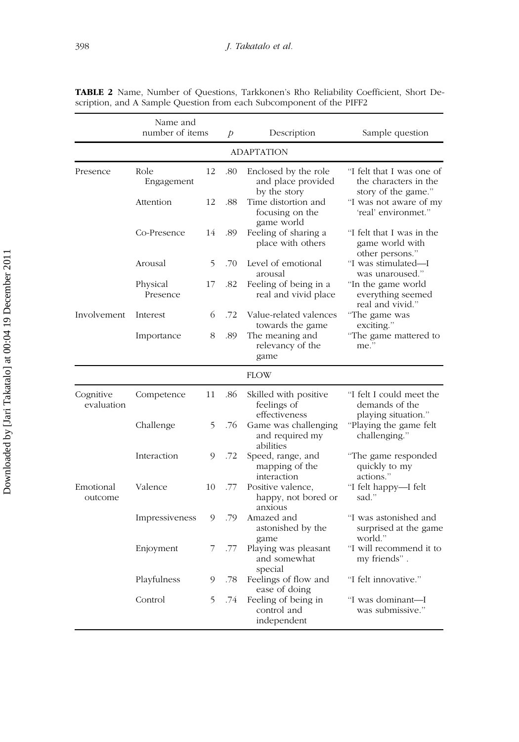|                         | Name and<br>number of items |    | Þ   | Description                                                | Sample question                                                           |  |  |  |  |  |
|-------------------------|-----------------------------|----|-----|------------------------------------------------------------|---------------------------------------------------------------------------|--|--|--|--|--|
| <b>ADAPTATION</b>       |                             |    |     |                                                            |                                                                           |  |  |  |  |  |
| Presence                | Role<br>Engagement          | 12 | .80 | Enclosed by the role<br>and place provided<br>by the story | "I felt that I was one of<br>the characters in the<br>story of the game." |  |  |  |  |  |
|                         | Attention                   | 12 | .88 | Time distortion and<br>focusing on the<br>game world       | "I was not aware of my<br>'real' environmet."                             |  |  |  |  |  |
|                         | Co-Presence                 | 14 | .89 | Feeling of sharing a<br>place with others                  | "I felt that I was in the<br>game world with<br>other persons."           |  |  |  |  |  |
|                         | Arousal                     | 5  | .70 | Level of emotional<br>arousal                              | "I was stimulated-I<br>was unaroused."                                    |  |  |  |  |  |
|                         | Physical<br>Presence        | 17 | .82 | Feeling of being in a<br>real and vivid place              | "In the game world<br>everything seemed<br>real and vivid."               |  |  |  |  |  |
| Involvement             | Interest                    | 6  | .72 | Value-related valences<br>towards the game                 | "The game was<br>exciting."                                               |  |  |  |  |  |
|                         | Importance                  | 8  | .89 | The meaning and<br>relevancy of the<br>game                | "The game mattered to<br>me."                                             |  |  |  |  |  |
|                         |                             |    |     | <b>FLOW</b>                                                |                                                                           |  |  |  |  |  |
| Cognitive<br>evaluation | Competence                  | 11 | .86 | Skilled with positive<br>feelings of<br>effectiveness      | "I felt I could meet the<br>demands of the<br>playing situation."         |  |  |  |  |  |
|                         | Challenge                   | 5  | .76 | Game was challenging<br>and required my<br>abilities       | "Playing the game felt<br>challenging."                                   |  |  |  |  |  |
|                         | Interaction                 | 9  | .72 | Speed, range, and<br>mapping of the<br>interaction         | "The game responded<br>quickly to my<br>actions."                         |  |  |  |  |  |
| Emotional<br>outcome    | Valence                     | 10 | .77 | Positive valence,<br>happy, not bored or<br>anxious        | "I felt happy-I felt<br>sad."                                             |  |  |  |  |  |
|                         | Impressiveness              | 9  | .79 | Amazed and<br>astonished by the<br>game                    | "I was astonished and<br>surprised at the game<br>world."                 |  |  |  |  |  |
|                         | Enjoyment                   | 7  | .77 | Playing was pleasant<br>and somewhat<br>special            | "I will recommend it to<br>my friends".                                   |  |  |  |  |  |
|                         | Playfulness                 | 9  | .78 | Feelings of flow and<br>ease of doing                      | "I felt innovative."                                                      |  |  |  |  |  |
|                         | Control                     | 5  | .74 | Feeling of being in<br>control and<br>independent          | "I was dominant—I<br>was submissive."                                     |  |  |  |  |  |

TABLE 2 Name, Number of Questions, Tarkkonen's Rho Reliability Coefficient, Short Description, and A Sample Question from each Subcomponent of the PIFF2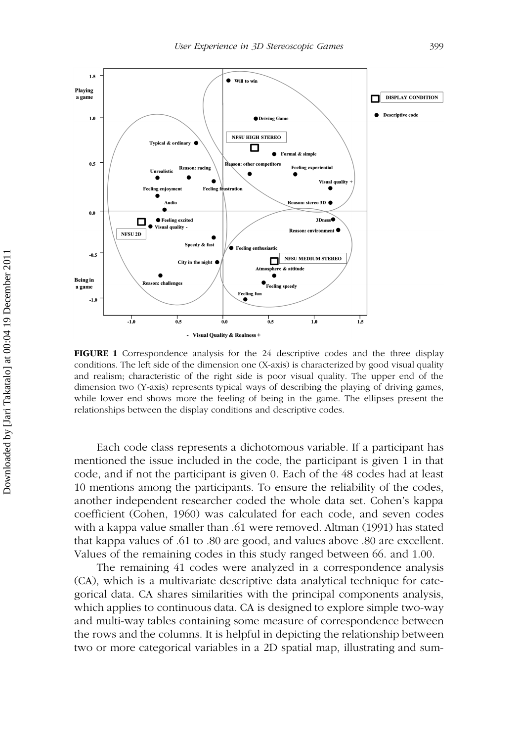

FIGURE 1 Correspondence analysis for the 24 descriptive codes and the three display conditions. The left side of the dimension one (X-axis) is characterized by good visual quality and realism; characteristic of the right side is poor visual quality. The upper end of the dimension two (Y-axis) represents typical ways of describing the playing of driving games, while lower end shows more the feeling of being in the game. The ellipses present the relationships between the display conditions and descriptive codes.

Each code class represents a dichotomous variable. If a participant has mentioned the issue included in the code, the participant is given 1 in that code, and if not the participant is given 0. Each of the 48 codes had at least 10 mentions among the participants. To ensure the reliability of the codes, another independent researcher coded the whole data set. Cohen's kappa coefficient (Cohen, 1960) was calculated for each code, and seven codes with a kappa value smaller than .61 were removed. Altman (1991) has stated that kappa values of .61 to .80 are good, and values above .80 are excellent. Values of the remaining codes in this study ranged between 66. and 1.00.

The remaining 41 codes were analyzed in a correspondence analysis (CA), which is a multivariate descriptive data analytical technique for categorical data. CA shares similarities with the principal components analysis, which applies to continuous data. CA is designed to explore simple two-way and multi-way tables containing some measure of correspondence between the rows and the columns. It is helpful in depicting the relationship between two or more categorical variables in a 2D spatial map, illustrating and sum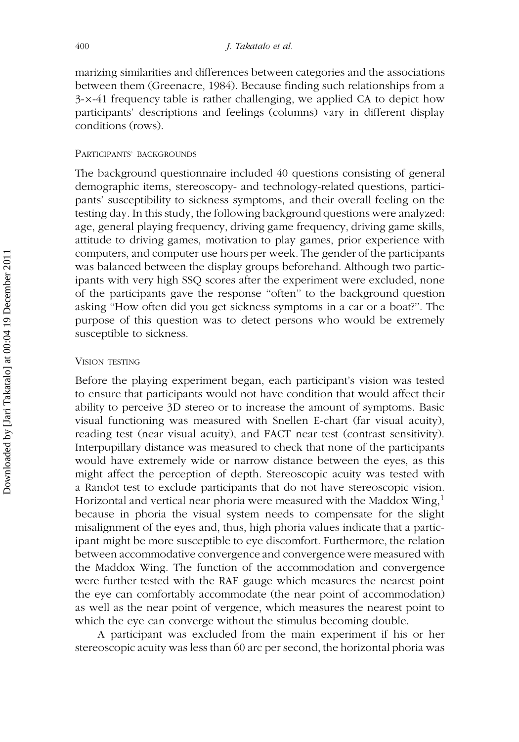marizing similarities and differences between categories and the associations between them (Greenacre, 1984). Because finding such relationships from a 3-x-41 frequency table is rather challenging, we applied CA to depict how participants' descriptions and feelings (columns) vary in different display conditions (rows).

#### PARTICIPANTS' BACKGROUNDS

The background questionnaire included 40 questions consisting of general demographic items, stereoscopy- and technology-related questions, participants' susceptibility to sickness symptoms, and their overall feeling on the testing day. In this study, the following background questions were analyzed: age, general playing frequency, driving game frequency, driving game skills, attitude to driving games, motivation to play games, prior experience with computers, and computer use hours per week. The gender of the participants was balanced between the display groups beforehand. Although two participants with very high SSQ scores after the experiment were excluded, none of the participants gave the response ''often'' to the background question asking ''How often did you get sickness symptoms in a car or a boat?''. The purpose of this question was to detect persons who would be extremely susceptible to sickness.

#### VISION TESTING

Before the playing experiment began, each participant's vision was tested to ensure that participants would not have condition that would affect their ability to perceive 3D stereo or to increase the amount of symptoms. Basic visual functioning was measured with Snellen E-chart (far visual acuity), reading test (near visual acuity), and FACT near test (contrast sensitivity). Interpupillary distance was measured to check that none of the participants would have extremely wide or narrow distance between the eyes, as this might affect the perception of depth. Stereoscopic acuity was tested with a Randot test to exclude participants that do not have stereoscopic vision. Horizontal and vertical near phoria were measured with the Maddox Wing,<sup>1</sup> because in phoria the visual system needs to compensate for the slight misalignment of the eyes and, thus, high phoria values indicate that a participant might be more susceptible to eye discomfort. Furthermore, the relation between accommodative convergence and convergence were measured with the Maddox Wing. The function of the accommodation and convergence were further tested with the RAF gauge which measures the nearest point the eye can comfortably accommodate (the near point of accommodation) as well as the near point of vergence, which measures the nearest point to which the eye can converge without the stimulus becoming double.

A participant was excluded from the main experiment if his or her stereoscopic acuity was less than 60 arc per second, the horizontal phoria was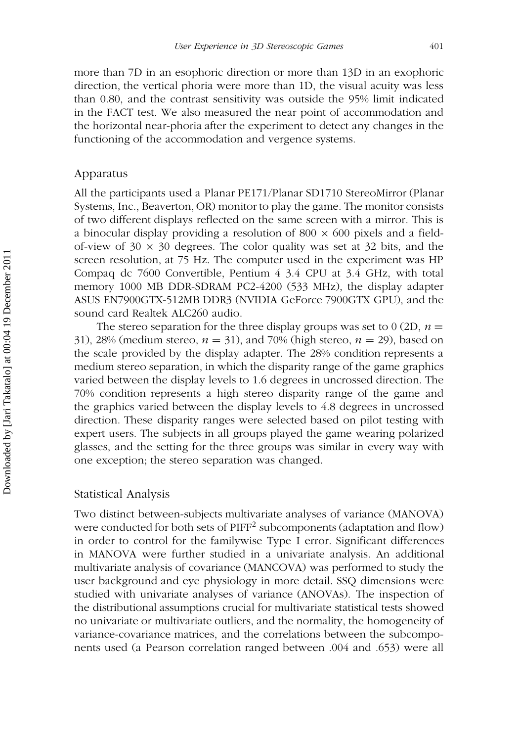more than 7D in an esophoric direction or more than 13D in an exophoric direction, the vertical phoria were more than 1D, the visual acuity was less than 0.80, and the contrast sensitivity was outside the 95% limit indicated in the FACT test. We also measured the near point of accommodation and the horizontal near-phoria after the experiment to detect any changes in the functioning of the accommodation and vergence systems.

#### Apparatus

All the participants used a Planar PE171/Planar SD1710 StereoMirror (Planar Systems, Inc., Beaverton, OR) monitor to play the game. The monitor consists of two different displays reflected on the same screen with a mirror. This is a binocular display providing a resolution of 800  $\times$  600 pixels and a fieldof-view of  $30 \times 30$  degrees. The color quality was set at  $32$  bits, and the screen resolution, at 75 Hz. The computer used in the experiment was HP Compaq dc 7600 Convertible, Pentium 4 3.4 CPU at 3.4 GHz, with total memory 1000 MB DDR-SDRAM PC2-4200 (533 MHz), the display adapter ASUS EN7900GTX-512MB DDR3 (NVIDIA GeForce 7900GTX GPU), and the sound card Realtek ALC260 audio.

The stereo separation for the three display groups was set to 0 (2D,  $n =$ 31), 28% (medium stereo,  $n = 31$ ), and 70% (high stereo,  $n = 29$ ), based on the scale provided by the display adapter. The 28% condition represents a medium stereo separation, in which the disparity range of the game graphics varied between the display levels to 1.6 degrees in uncrossed direction. The 70% condition represents a high stereo disparity range of the game and the graphics varied between the display levels to 4.8 degrees in uncrossed direction. These disparity ranges were selected based on pilot testing with expert users. The subjects in all groups played the game wearing polarized glasses, and the setting for the three groups was similar in every way with one exception; the stereo separation was changed.

#### Statistical Analysis

Two distinct between-subjects multivariate analyses of variance (MANOVA) were conducted for both sets of  $\mathrm{PIFF}^2$  subcomponents (adaptation and flow) in order to control for the familywise Type I error. Significant differences in MANOVA were further studied in a univariate analysis. An additional multivariate analysis of covariance (MANCOVA) was performed to study the user background and eye physiology in more detail. SSQ dimensions were studied with univariate analyses of variance (ANOVAs). The inspection of the distributional assumptions crucial for multivariate statistical tests showed no univariate or multivariate outliers, and the normality, the homogeneity of variance-covariance matrices, and the correlations between the subcomponents used (a Pearson correlation ranged between .004 and .653) were all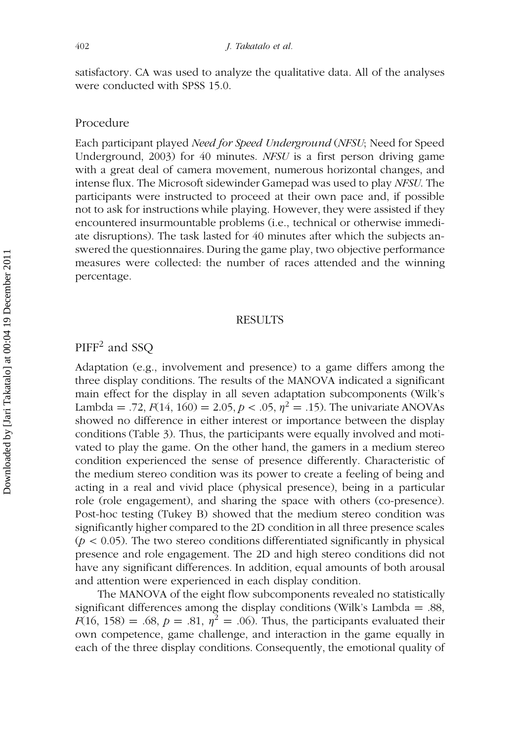satisfactory. CA was used to analyze the qualitative data. All of the analyses were conducted with SPSS 15.0.

#### Procedure

Each participant played Need for Speed Underground (NFSU; Need for Speed Underground, 2003) for 40 minutes. NFSU is a first person driving game with a great deal of camera movement, numerous horizontal changes, and intense flux. The Microsoft sidewinder Gamepad was used to play NFSU. The participants were instructed to proceed at their own pace and, if possible not to ask for instructions while playing. However, they were assisted if they encountered insurmountable problems (i.e., technical or otherwise immediate disruptions). The task lasted for 40 minutes after which the subjects answered the questionnaires. During the game play, two objective performance measures were collected: the number of races attended and the winning percentage.

#### RESULTS

# PIFF<sup>2</sup> and SSQ

Adaptation (e.g., involvement and presence) to a game differs among the three display conditions. The results of the MANOVA indicated a significant main effect for the display in all seven adaptation subcomponents (Wilk's Lambda = .72,  $F(14, 160) = 2.05, p < .05, \eta^2 = .15$ ). The univariate ANOVAs showed no difference in either interest or importance between the display conditions (Table 3). Thus, the participants were equally involved and motivated to play the game. On the other hand, the gamers in a medium stereo condition experienced the sense of presence differently. Characteristic of the medium stereo condition was its power to create a feeling of being and acting in a real and vivid place (physical presence), being in a particular role (role engagement), and sharing the space with others (co-presence). Post-hoc testing (Tukey B) showed that the medium stereo condition was significantly higher compared to the 2D condition in all three presence scales  $(p < 0.05)$ . The two stereo conditions differentiated significantly in physical presence and role engagement. The 2D and high stereo conditions did not have any significant differences. In addition, equal amounts of both arousal and attention were experienced in each display condition.

The MANOVA of the eight flow subcomponents revealed no statistically significant differences among the display conditions (Wilk's Lambda = .88,  $F(16, 158) = .68$ ,  $p = .81$ ,  $\eta^2 = .06$ ). Thus, the participants evaluated their own competence, game challenge, and interaction in the game equally in each of the three display conditions. Consequently, the emotional quality of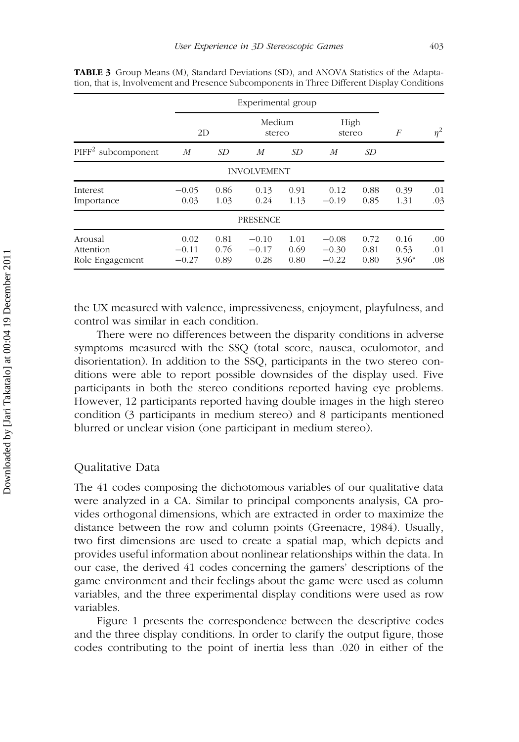|                                         |                            | Experimental group   |                            |                      |                               |                      |                         |                   |  |
|-----------------------------------------|----------------------------|----------------------|----------------------------|----------------------|-------------------------------|----------------------|-------------------------|-------------------|--|
|                                         | 2D                         |                      | Medium<br>stereo           |                      | High<br>stereo                |                      | F                       | $n^2$             |  |
| PIFF <sup>2</sup> subcomponent          | M                          | <i>SD</i>            | M                          | SD <sub>-</sub>      | M                             | SD <sub>-</sub>      |                         |                   |  |
|                                         |                            |                      | <b>INVOLVEMENT</b>         |                      |                               |                      |                         |                   |  |
| Interest<br>Importance                  | $-0.05$<br>0.03            | 0.86<br>1.03         | 0.13<br>0.24               | 0.91<br>1.13         | 0.12<br>$-0.19$               | 0.88<br>0.85         | 0.39<br>1.31            | .01<br>.03        |  |
|                                         |                            |                      | <b>PRESENCE</b>            |                      |                               |                      |                         |                   |  |
| Arousal<br>Attention<br>Role Engagement | 0.02<br>$-0.11$<br>$-0.27$ | 0.81<br>0.76<br>0.89 | $-0.10$<br>$-0.17$<br>0.28 | 1.01<br>0.69<br>0.80 | $-0.08$<br>$-0.30$<br>$-0.22$ | 0.72<br>0.81<br>0.80 | 0.16<br>0.53<br>$3.96*$ | .00<br>.01<br>.08 |  |

TABLE 3 Group Means (M), Standard Deviations (SD), and ANOVA Statistics of the Adaptation, that is, Involvement and Presence Subcomponents in Three Different Display Conditions

the UX measured with valence, impressiveness, enjoyment, playfulness, and control was similar in each condition.

There were no differences between the disparity conditions in adverse symptoms measured with the SSQ (total score, nausea, oculomotor, and disorientation). In addition to the SSQ, participants in the two stereo conditions were able to report possible downsides of the display used. Five participants in both the stereo conditions reported having eye problems. However, 12 participants reported having double images in the high stereo condition (3 participants in medium stereo) and 8 participants mentioned blurred or unclear vision (one participant in medium stereo).

#### Qualitative Data

The 41 codes composing the dichotomous variables of our qualitative data were analyzed in a CA. Similar to principal components analysis, CA provides orthogonal dimensions, which are extracted in order to maximize the distance between the row and column points (Greenacre, 1984). Usually, two first dimensions are used to create a spatial map, which depicts and provides useful information about nonlinear relationships within the data. In our case, the derived 41 codes concerning the gamers' descriptions of the game environment and their feelings about the game were used as column variables, and the three experimental display conditions were used as row variables.

Figure 1 presents the correspondence between the descriptive codes and the three display conditions. In order to clarify the output figure, those codes contributing to the point of inertia less than .020 in either of the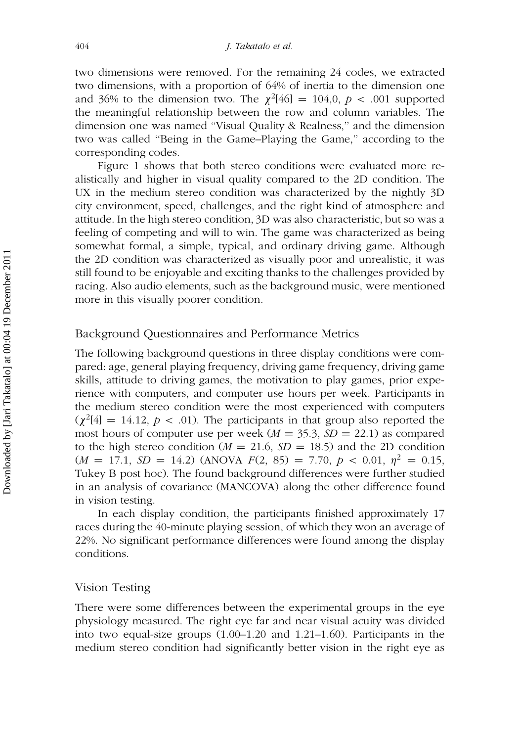two dimensions were removed. For the remaining 24 codes, we extracted two dimensions, with a proportion of 64% of inertia to the dimension one and 36% to the dimension two. The  $\chi^2[46] = 104,0, p < .001$  supported the meaningful relationship between the row and column variables. The dimension one was named ''Visual Quality & Realness,'' and the dimension two was called ''Being in the Game–Playing the Game,'' according to the corresponding codes.

Figure 1 shows that both stereo conditions were evaluated more realistically and higher in visual quality compared to the 2D condition. The UX in the medium stereo condition was characterized by the nightly 3D city environment, speed, challenges, and the right kind of atmosphere and attitude. In the high stereo condition, 3D was also characteristic, but so was a feeling of competing and will to win. The game was characterized as being somewhat formal, a simple, typical, and ordinary driving game. Although the 2D condition was characterized as visually poor and unrealistic, it was still found to be enjoyable and exciting thanks to the challenges provided by racing. Also audio elements, such as the background music, were mentioned more in this visually poorer condition.

## Background Questionnaires and Performance Metrics

The following background questions in three display conditions were compared: age, general playing frequency, driving game frequency, driving game skills, attitude to driving games, the motivation to play games, prior experience with computers, and computer use hours per week. Participants in the medium stereo condition were the most experienced with computers  $(\chi^2[4] = 14.12, p < .01)$ . The participants in that group also reported the most hours of computer use per week ( $M = 35.3$ ,  $SD = 22.1$ ) as compared to the high stereo condition ( $M = 21.6$ ,  $SD = 18.5$ ) and the 2D condition  $(M = 17.1, SD = 14.2)$  (ANOVA  $F(2, 85) = 7.70, p < 0.01, \eta^2 = 0.15$ ) Tukey B post hoc). The found background differences were further studied in an analysis of covariance (MANCOVA) along the other difference found in vision testing.

In each display condition, the participants finished approximately 17 races during the 40-minute playing session, of which they won an average of 22%. No significant performance differences were found among the display conditions.

#### Vision Testing

There were some differences between the experimental groups in the eye physiology measured. The right eye far and near visual acuity was divided into two equal-size groups (1.00–1.20 and 1.21–1.60). Participants in the medium stereo condition had significantly better vision in the right eye as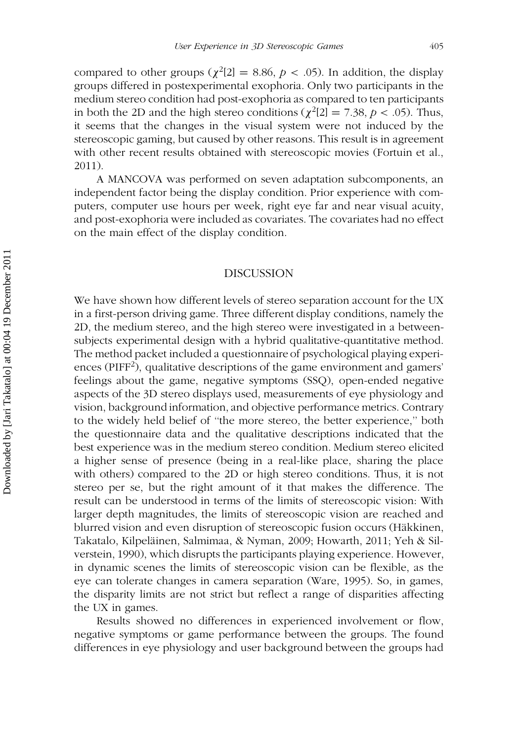compared to other groups ( $\chi^2[2] = 8.86$ ,  $p < .05$ ). In addition, the display groups differed in postexperimental exophoria. Only two participants in the medium stereo condition had post-exophoria as compared to ten participants in both the 2D and the high stereo conditions ( $\chi^2$ [2] = 7.38, p < .05). Thus, it seems that the changes in the visual system were not induced by the stereoscopic gaming, but caused by other reasons. This result is in agreement with other recent results obtained with stereoscopic movies (Fortuin et al., 2011).

A MANCOVA was performed on seven adaptation subcomponents, an independent factor being the display condition. Prior experience with computers, computer use hours per week, right eye far and near visual acuity, and post-exophoria were included as covariates. The covariates had no effect on the main effect of the display condition.

#### DISCUSSION

We have shown how different levels of stereo separation account for the UX in a first-person driving game. Three different display conditions, namely the 2D, the medium stereo, and the high stereo were investigated in a betweensubjects experimental design with a hybrid qualitative-quantitative method. The method packet included a questionnaire of psychological playing experiences (PIFF<sup>2</sup>), qualitative descriptions of the game environment and gamers' feelings about the game, negative symptoms (SSQ), open-ended negative aspects of the 3D stereo displays used, measurements of eye physiology and vision, background information, and objective performance metrics. Contrary to the widely held belief of ''the more stereo, the better experience,'' both the questionnaire data and the qualitative descriptions indicated that the best experience was in the medium stereo condition. Medium stereo elicited a higher sense of presence (being in a real-like place, sharing the place with others) compared to the 2D or high stereo conditions. Thus, it is not stereo per se, but the right amount of it that makes the difference. The result can be understood in terms of the limits of stereoscopic vision: With larger depth magnitudes, the limits of stereoscopic vision are reached and blurred vision and even disruption of stereoscopic fusion occurs (Häkkinen, Takatalo, Kilpeläinen, Salmimaa, & Nyman, 2009; Howarth, 2011; Yeh & Silverstein, 1990), which disrupts the participants playing experience. However, in dynamic scenes the limits of stereoscopic vision can be flexible, as the eye can tolerate changes in camera separation (Ware, 1995). So, in games, the disparity limits are not strict but reflect a range of disparities affecting the UX in games.

Results showed no differences in experienced involvement or flow, negative symptoms or game performance between the groups. The found differences in eye physiology and user background between the groups had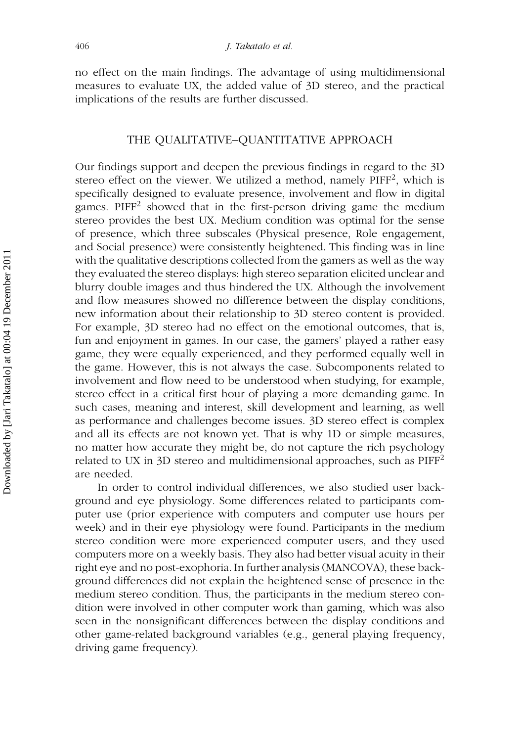no effect on the main findings. The advantage of using multidimensional measures to evaluate UX, the added value of 3D stereo, and the practical implications of the results are further discussed.

#### THE QUALITATIVE–QUANTITATIVE APPROACH

Our findings support and deepen the previous findings in regard to the 3D stereo effect on the viewer. We utilized a method, namely PIFF<sup>2</sup>, which is specifically designed to evaluate presence, involvement and flow in digital games. PIFF<sup>2</sup> showed that in the first-person driving game the medium stereo provides the best UX. Medium condition was optimal for the sense of presence, which three subscales (Physical presence, Role engagement, and Social presence) were consistently heightened. This finding was in line with the qualitative descriptions collected from the gamers as well as the way they evaluated the stereo displays: high stereo separation elicited unclear and blurry double images and thus hindered the UX. Although the involvement and flow measures showed no difference between the display conditions, new information about their relationship to 3D stereo content is provided. For example, 3D stereo had no effect on the emotional outcomes, that is, fun and enjoyment in games. In our case, the gamers' played a rather easy game, they were equally experienced, and they performed equally well in the game. However, this is not always the case. Subcomponents related to involvement and flow need to be understood when studying, for example, stereo effect in a critical first hour of playing a more demanding game. In such cases, meaning and interest, skill development and learning, as well as performance and challenges become issues. 3D stereo effect is complex and all its effects are not known yet. That is why 1D or simple measures, no matter how accurate they might be, do not capture the rich psychology related to UX in 3D stereo and multidimensional approaches, such as PIFF<sup>2</sup> are needed.

In order to control individual differences, we also studied user background and eye physiology. Some differences related to participants computer use (prior experience with computers and computer use hours per week) and in their eye physiology were found. Participants in the medium stereo condition were more experienced computer users, and they used computers more on a weekly basis. They also had better visual acuity in their right eye and no post-exophoria. In further analysis (MANCOVA), these background differences did not explain the heightened sense of presence in the medium stereo condition. Thus, the participants in the medium stereo condition were involved in other computer work than gaming, which was also seen in the nonsignificant differences between the display conditions and other game-related background variables (e.g., general playing frequency, driving game frequency).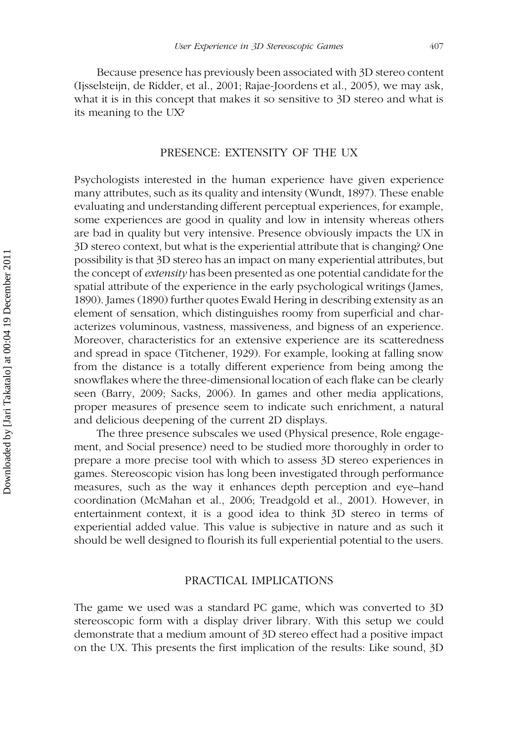Because presence has previously been associated with 3D stereo content (Ijsselsteijn, de Ridder, et al., 2001; Rajae-Joordens et al., 2005), we may ask, what it is in this concept that makes it so sensitive to 3D stereo and what is its meaning to the UX?

#### PRESENCE: EXTENSITY OF THE UX

Psychologists interested in the human experience have given experience many attributes, such as its quality and intensity (Wundt, 1897). These enable evaluating and understanding different perceptual experiences, for example, some experiences are good in quality and low in intensity whereas others are bad in quality but very intensive. Presence obviously impacts the UX in 3D stereo context, but what is the experiential attribute that is changing? One possibility is that 3D stereo has an impact on many experiential attributes, but the concept of *extensity* has been presented as one potential candidate for the spatial attribute of the experience in the early psychological writings (James, 1890). James (1890) further quotes Ewald Hering in describing extensity as an element of sensation, which distinguishes roomy from superficial and characterizes voluminous, vastness, massiveness, and bigness of an experience. Moreover, characteristics for an extensive experience are its scatteredness and spread in space (Titchener, 1929). For example, looking at falling snow from the distance is a totally different experience from being among the snowflakes where the three-dimensional location of each flake can be clearly seen (Barry, 2009; Sacks, 2006). In games and other media applications, proper measures of presence seem to indicate such enrichment, a natural and delicious deepening of the current 2D displays.

The three presence subscales we used (Physical presence, Role engagement, and Social presence) need to be studied more thoroughly in order to prepare a more precise tool with which to assess 3D stereo experiences in games. Stereoscopic vision has long been investigated through performance measures, such as the way it enhances depth perception and eye–hand coordination (McMahan et al., 2006; Treadgold et al., 2001). However, in entertainment context, it is a good idea to think 3D stereo in terms of experiential added value. This value is subjective in nature and as such it should be well designed to flourish its full experiential potential to the users.

#### PRACTICAL IMPLICATIONS

The game we used was a standard PC game, which was converted to 3D stereoscopic form with a display driver library. With this setup we could demonstrate that a medium amount of 3D stereo effect had a positive impact on the UX. This presents the first implication of the results: Like sound, 3D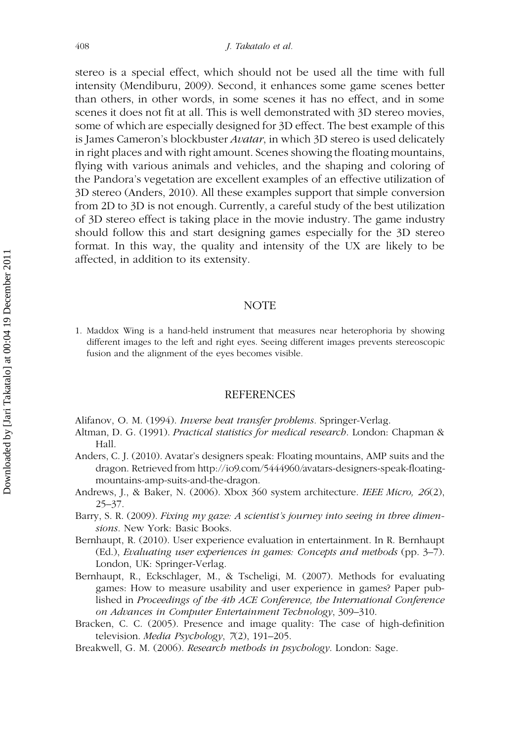stereo is a special effect, which should not be used all the time with full intensity (Mendiburu, 2009). Second, it enhances some game scenes better than others, in other words, in some scenes it has no effect, and in some scenes it does not fit at all. This is well demonstrated with 3D stereo movies, some of which are especially designed for 3D effect. The best example of this is James Cameron's blockbuster *Avatar*, in which 3D stereo is used delicately in right places and with right amount. Scenes showing the floating mountains, flying with various animals and vehicles, and the shaping and coloring of the Pandora's vegetation are excellent examples of an effective utilization of 3D stereo (Anders, 2010). All these examples support that simple conversion from 2D to 3D is not enough. Currently, a careful study of the best utilization of 3D stereo effect is taking place in the movie industry. The game industry should follow this and start designing games especially for the 3D stereo format. In this way, the quality and intensity of the UX are likely to be affected, in addition to its extensity.

#### **NOTE**

1. Maddox Wing is a hand-held instrument that measures near heterophoria by showing different images to the left and right eyes. Seeing different images prevents stereoscopic fusion and the alignment of the eyes becomes visible.

#### REFERENCES

Alifanov, O. M. (1994). Inverse heat transfer problems. Springer-Verlag.

- Altman, D. G. (1991). Practical statistics for medical research. London: Chapman & Hall.
- Anders, C. J. (2010). Avatar's designers speak: Floating mountains, AMP suits and the dragon. Retrieved from http://io9.com/5444960/avatars-designers-speak-floatingmountains-amp-suits-and-the-dragon.
- Andrews, J., & Baker, N. (2006). Xbox 360 system architecture. IEEE Micro, 26(2),  $25 - 37$ .
- Barry, S. R. (2009). Fixing my gaze: A scientist's journey into seeing in three dimensions. New York: Basic Books.
- Bernhaupt, R. (2010). User experience evaluation in entertainment. In R. Bernhaupt (Ed.), Evaluating user experiences in games: Concepts and methods (pp. 3–7). London, UK: Springer-Verlag.
- Bernhaupt, R., Eckschlager, M., & Tscheligi, M. (2007). Methods for evaluating games: How to measure usability and user experience in games? Paper published in Proceedings of the 4th ACE Conference, the International Conference on Advances in Computer Entertainment Technology, 309–310.
- Bracken, C. C. (2005). Presence and image quality: The case of high-definition television. *Media Psychology*,  $7(2)$ , 191–205.
- Breakwell, G. M. (2006). Research methods in psychology. London: Sage.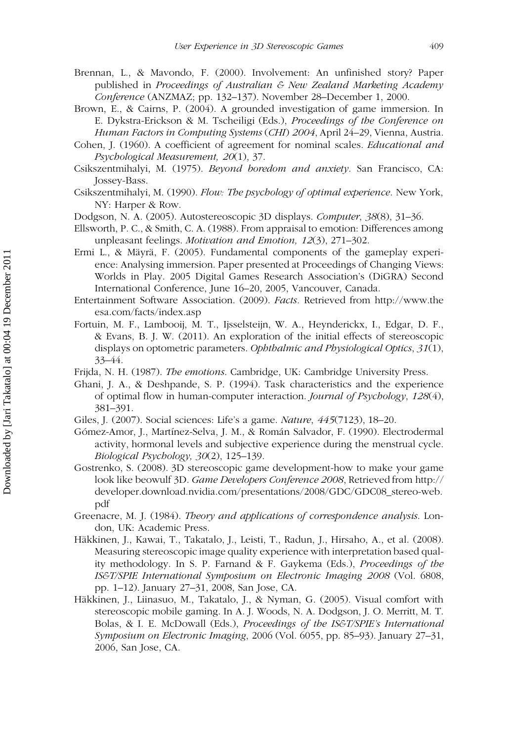- Brennan, L., & Mavondo, F. (2000). Involvement: An unfinished story? Paper published in Proceedings of Australian & New Zealand Marketing Academy Conference (ANZMAZ; pp. 132–137). November 28–December 1, 2000.
- Brown, E., & Cairns, P. (2004). A grounded investigation of game immersion. In E. Dykstra-Erickson & M. Tscheiligi (Eds.), Proceedings of the Conference on Human Factors in Computing Systems (CHI) 2004, April 24–29, Vienna, Austria.
- Cohen, J. (1960). A coefficient of agreement for nominal scales. Educational and Psychological Measurement, 20(1), 37.
- Csikszentmihalyi, M. (1975). Beyond boredom and anxiety. San Francisco, CA: Jossey-Bass.
- Csikszentmihalyi, M. (1990). Flow: The psychology of optimal experience. New York, NY: Harper & Row.
- Dodgson, N. A. (2005). Autostereoscopic 3D displays. Computer, 38(8), 31–36.
- Ellsworth, P. C., & Smith, C. A. (1988). From appraisal to emotion: Differences among unpleasant feelings. Motivation and Emotion, 12(3), 271–302.
- Ermi L., & Mäyrä, F. (2005). Fundamental components of the gameplay experience: Analysing immersion. Paper presented at Proceedings of Changing Views: Worlds in Play. 2005 Digital Games Research Association's (DiGRA) Second International Conference, June 16–20, 2005, Vancouver, Canada.
- Entertainment Software Association. (2009). Facts. Retrieved from http://www.the esa.com/facts/index.asp
- Fortuin, M. F., Lambooij, M. T., Ijsselsteijn, W. A., Heynderickx, I., Edgar, D. F., & Evans, B. J. W. (2011). An exploration of the initial effects of stereoscopic displays on optometric parameters. Ophthalmic and Physiological Optics, 31(1), 33–44.
- Frijda, N. H. (1987). The emotions. Cambridge, UK: Cambridge University Press.
- Ghani, J. A., & Deshpande, S. P. (1994). Task characteristics and the experience of optimal flow in human-computer interaction. Journal of Psychology, 128(4), 381–391.
- Giles, J. (2007). Social sciences: Life's a game. Nature, 445(7123), 18–20.
- Gómez-Amor, J., Martínez-Selva, J. M., & Román Salvador, F. (1990). Electrodermal activity, hormonal levels and subjective experience during the menstrual cycle. Biological Psychology, 30(2), 125–139.
- Gostrenko, S. (2008). 3D stereoscopic game development-how to make your game look like beowulf 3D. Game Developers Conference 2008, Retrieved from http:// developer.download.nvidia.com/presentations/2008/GDC/GDC08\_stereo-web. pdf
- Greenacre, M. J. (1984). Theory and applications of correspondence analysis. London, UK: Academic Press.
- Häkkinen, J., Kawai, T., Takatalo, J., Leisti, T., Radun, J., Hirsaho, A., et al. (2008). Measuring stereoscopic image quality experience with interpretation based quality methodology. In S. P. Farnand & F. Gaykema (Eds.), Proceedings of the IS&T/SPIE International Symposium on Electronic Imaging 2008 (Vol. 6808, pp. 1–12). January 27–31, 2008, San Jose, CA.
- Häkkinen, J., Liinasuo, M., Takatalo, J., & Nyman, G. (2005). Visual comfort with stereoscopic mobile gaming. In A. J. Woods, N. A. Dodgson, J. O. Merritt, M. T. Bolas, & I. E. McDowall (Eds.), *Proceedings of the IS&T/SPIE's International* Symposium on Electronic Imaging, 2006 (Vol. 6055, pp. 85–93). January 27–31, 2006, San Jose, CA.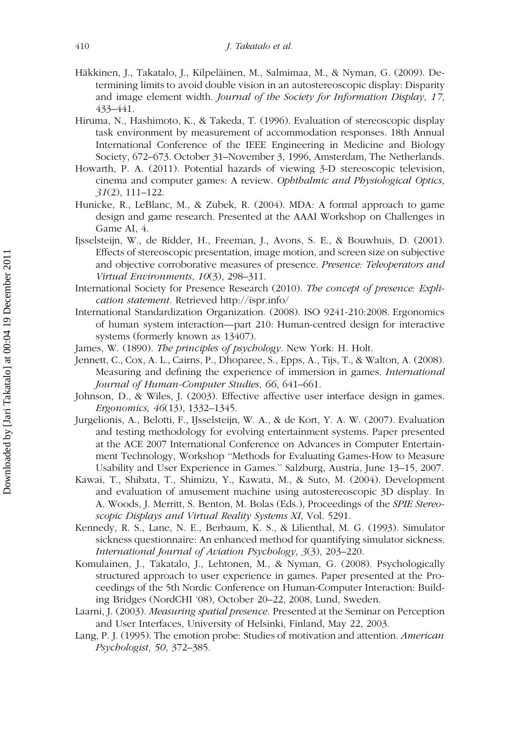- Häkkinen, J., Takatalo, J., Kilpeläinen, M., Salmimaa, M., & Nyman, G. (2009). Determining limits to avoid double vision in an autostereoscopic display: Disparity and image element width. Journal of the Society for Information Display, 17, 433–441.
- Hiruma, N., Hashimoto, K., & Takeda, T. (1996). Evaluation of stereoscopic display task environment by measurement of accommodation responses. 18th Annual International Conference of the IEEE Engineering in Medicine and Biology Society, 672–673. October 31–November 3, 1996, Amsterdam, The Netherlands.
- Howarth, P. A. (2011). Potential hazards of viewing 3-D stereoscopic television, cinema and computer games: A review. Ophthalmic and Physiological Optics, 31(2), 111–122.
- Hunicke, R., LeBlanc, M., & Zubek, R. (2004). MDA: A formal approach to game design and game research. Presented at the AAAI Workshop on Challenges in Game AI, 4.
- Ijsselsteijn, W., de Ridder, H., Freeman, J., Avons, S. E., & Bouwhuis, D. (2001). Effects of stereoscopic presentation, image motion, and screen size on subjective and objective corroborative measures of presence. Presence: Teleoperators and Virtual Environments, 10(3), 298–311.
- International Society for Presence Research (2010). The concept of presence: Explication statement. Retrieved http://ispr.info/
- International Standardization Organization. (2008). ISO 9241-210:2008. Ergonomics of human system interaction—part 210: Human-centred design for interactive systems (formerly known as 13407).
- James, W. (1890). The principles of psychology. New York: H. Holt.
- Jennett, C., Cox, A. L., Cairns, P., Dhoparee, S., Epps, A., Tijs, T., & Walton, A. (2008). Measuring and defining the experience of immersion in games. International Journal of Human-Computer Studies, 66, 641–661.
- Johnson, D., & Wiles, J. (2003). Effective affective user interface design in games. Ergonomics, 46(13), 1332–1345.
- Jurgelionis, A., Belotti, F., IJsselsteijn, W. A., & de Kort, Y. A. W. (2007). Evaluation and testing methodology for evolving entertainment systems. Paper presented at the ACE 2007 International Conference on Advances in Computer Entertainment Technology, Workshop ''Methods for Evaluating Games-How to Measure Usability and User Experience in Games.'' Salzburg, Austria, June 13–15, 2007.
- Kawai, T., Shibata, T., Shimizu, Y., Kawata, M., & Suto, M. (2004). Development and evaluation of amusement machine using autostereoscopic 3D display. In A. Woods, J. Merritt, S. Benton, M. Bolas (Eds.), Proceedings of the SPIE Stereoscopic Displays and Virtual Reality Systems XI, Vol. 5291.
- Kennedy, R. S., Lane, N. E., Berbaum, K. S., & Lilienthal, M. G. (1993). Simulator sickness questionnaire: An enhanced method for quantifying simulator sickness. International Journal of Aviation Psychology, 3(3), 203–220.
- Komulainen, J., Takatalo, J., Lehtonen, M., & Nyman, G. (2008). Psychologically structured approach to user experience in games. Paper presented at the Proceedings of the 5th Nordic Conference on Human-Computer Interaction: Building Bridges (NordCHI '08), October 20–22, 2008, Lund, Sweden.
- Laarni, J. (2003). *Measuring spatial presence*. Presented at the Seminar on Perception and User Interfaces, University of Helsinki, Finland, May 22, 2003.
- Lang, P. J. (1995). The emotion probe: Studies of motivation and attention. American Psychologist, 50, 372–385.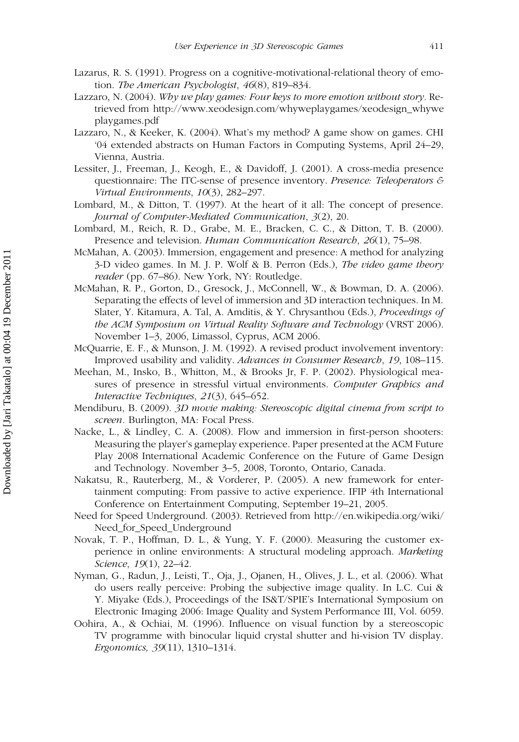- Lazarus, R. S. (1991). Progress on a cognitive-motivational-relational theory of emotion. The American Psychologist, 46(8), 819–834.
- Lazzaro, N. (2004). Why we play games: Four keys to more emotion without story. Retrieved from http://www.xeodesign.com/whyweplaygames/xeodesign\_whywe playgames.pdf
- Lazzaro, N., & Keeker, K. (2004). What's my method? A game show on games. CHI '04 extended abstracts on Human Factors in Computing Systems, April 24–29, Vienna, Austria.
- Lessiter, J., Freeman, J., Keogh, E., & Davidoff, J. (2001). A cross-media presence questionnaire: The ITC-sense of presence inventory. Presence: Teleoperators & Virtual Environments, 10(3), 282–297.
- Lombard, M., & Ditton, T. (1997). At the heart of it all: The concept of presence. Journal of Computer-Mediated Communication, 3(2), 20.
- Lombard, M., Reich, R. D., Grabe, M. E., Bracken, C. C., & Ditton, T. B. (2000). Presence and television. Human Communication Research, 26(1), 75–98.
- McMahan, A. (2003). Immersion, engagement and presence: A method for analyzing 3-D video games. In M. J. P. Wolf & B. Perron (Eds.), The video game theory reader (pp. 67-86). New York, NY: Routledge.
- McMahan, R. P., Gorton, D., Gresock, J., McConnell, W., & Bowman, D. A. (2006). Separating the effects of level of immersion and 3D interaction techniques. In M. Slater, Y. Kitamura, A. Tal, A. Amditis, & Y. Chrysanthou (Eds.), Proceedings of the ACM Symposium on Virtual Reality Software and Technology (VRST 2006). November 1–3, 2006, Limassol, Cyprus, ACM 2006.
- McQuarrie, E. F., & Munson, J. M. (1992). A revised product involvement inventory: Improved usability and validity. Advances in Consumer Research, 19, 108–115.
- Meehan, M., Insko, B., Whitton, M., & Brooks Jr, F. P. (2002). Physiological measures of presence in stressful virtual environments. Computer Graphics and Interactive Techniques, 21(3), 645–652.
- Mendiburu, B. (2009). 3D movie making: Stereoscopic digital cinema from script to screen. Burlington, MA: Focal Press.
- Nacke, L., & Lindley, C. A. (2008). Flow and immersion in first-person shooters: Measuring the player's gameplay experience. Paper presented at the ACM Future Play 2008 International Academic Conference on the Future of Game Design and Technology. November 3–5, 2008, Toronto, Ontario, Canada.
- Nakatsu, R., Rauterberg, M., & Vorderer, P. (2005). A new framework for entertainment computing: From passive to active experience. IFIP 4th International Conference on Entertainment Computing, September 19–21, 2005.
- Need for Speed Underground. (2003). Retrieved from http://en.wikipedia.org/wiki/ Need\_for\_Speed\_Underground
- Novak, T. P., Hoffman, D. L., & Yung, Y. F. (2000). Measuring the customer experience in online environments: A structural modeling approach. Marketing Science, 19(1), 22-42.
- Nyman, G., Radun, J., Leisti, T., Oja, J., Ojanen, H., Olives, J. L., et al. (2006). What do users really perceive: Probing the subjective image quality. In L.C. Cui & Y. Miyake (Eds.), Proceedings of the IS&T/SPIE's International Symposium on Electronic Imaging 2006: Image Quality and System Performance III, Vol. 6059.
- Oohira, A., & Ochiai, M. (1996). Influence on visual function by a stereoscopic TV programme with binocular liquid crystal shutter and hi-vision TV display. Ergonomics, 39(11), 1310–1314.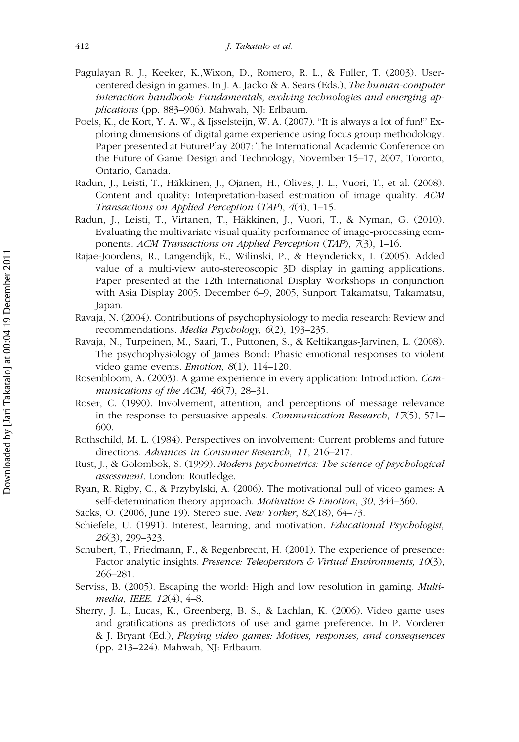- Pagulayan R. J., Keeker, K.,Wixon, D., Romero, R. L., & Fuller, T. (2003). Usercentered design in games. In J. A. Jacko & A. Sears (Eds.), The human-computer interaction handbook: Fundamentals, evolving technologies and emerging applications (pp. 883–906). Mahwah, NJ: Erlbaum.
- Poels, K., de Kort, Y. A. W., & Ijsselsteijn, W. A. (2007). ''It is always a lot of fun!'' Exploring dimensions of digital game experience using focus group methodology. Paper presented at FuturePlay 2007: The International Academic Conference on the Future of Game Design and Technology, November 15–17, 2007, Toronto, Ontario, Canada.
- Radun, J., Leisti, T., Häkkinen, J., Ojanen, H., Olives, J. L., Vuori, T., et al. (2008). Content and quality: Interpretation-based estimation of image quality. ACM Transactions on Applied Perception (TAP), 4(4), 1–15.
- Radun, J., Leisti, T., Virtanen, T., Häkkinen, J., Vuori, T., & Nyman, G. (2010). Evaluating the multivariate visual quality performance of image-processing components. ACM Transactions on Applied Perception (TAP), 7(3), 1–16.
- Rajae-Joordens, R., Langendijk, E., Wilinski, P., & Heynderickx, I. (2005). Added value of a multi-view auto-stereoscopic 3D display in gaming applications. Paper presented at the 12th International Display Workshops in conjunction with Asia Display 2005. December 6–9, 2005, Sunport Takamatsu, Takamatsu, Japan.
- Ravaja, N. (2004). Contributions of psychophysiology to media research: Review and recommendations. Media Psychology, 6(2), 193–235.
- Ravaja, N., Turpeinen, M., Saari, T., Puttonen, S., & Keltikangas-Jarvinen, L. (2008). The psychophysiology of James Bond: Phasic emotional responses to violent video game events. Emotion, 8(1), 114–120.
- Rosenbloom, A. (2003). A game experience in every application: Introduction. Communications of the ACM, 46(7), 28-31.
- Roser, C. (1990). Involvement, attention, and perceptions of message relevance in the response to persuasive appeals. Communication Research, 17(5), 571– 600.
- Rothschild, M. L. (1984). Perspectives on involvement: Current problems and future directions. Advances in Consumer Research, 11, 216–217.
- Rust, J., & Golombok, S. (1999). Modern psychometrics: The science of psychological assessment. London: Routledge.
- Ryan, R. Rigby, C., & Przybylski, A. (2006). The motivational pull of video games: A self-determination theory approach. Motivation & Emotion, 30, 344–360.
- Sacks, O. (2006, June 19). Stereo sue. New Yorker, 82(18), 64–73.
- Schiefele, U. (1991). Interest, learning, and motivation. Educational Psychologist, 26(3), 299–323.
- Schubert, T., Friedmann, F., & Regenbrecht, H. (2001). The experience of presence: Factor analytic insights. Presence: Teleoperators & Virtual Environments, 10(3), 266–281.
- Serviss, B. (2005). Escaping the world: High and low resolution in gaming. Multimedia, IEEE, 12(4), 4–8.
- Sherry, J. L., Lucas, K., Greenberg, B. S., & Lachlan, K. (2006). Video game uses and gratifications as predictors of use and game preference. In P. Vorderer & J. Bryant (Ed.), Playing video games: Motives, responses, and consequences (pp. 213–224). Mahwah, NJ: Erlbaum.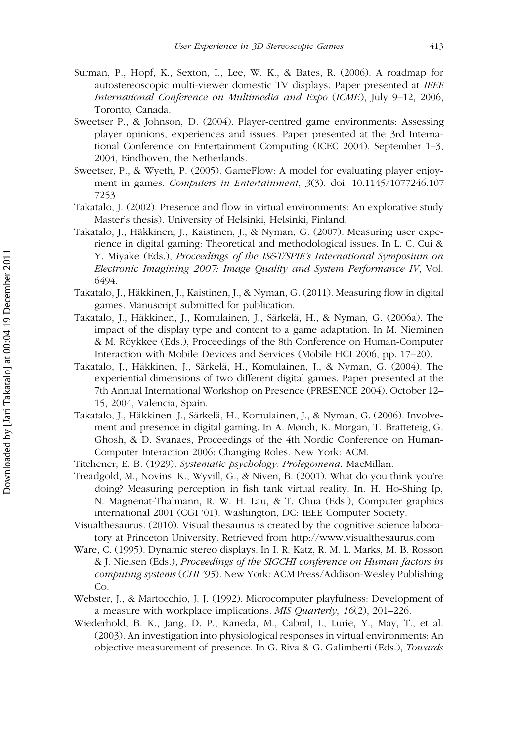- Surman, P., Hopf, K., Sexton, I., Lee, W. K., & Bates, R. (2006). A roadmap for autostereoscopic multi-viewer domestic TV displays. Paper presented at IEEE International Conference on Multimedia and Expo (ICME), July 9–12, 2006, Toronto, Canada.
- Sweetser P., & Johnson, D. (2004). Player-centred game environments: Assessing player opinions, experiences and issues. Paper presented at the 3rd International Conference on Entertainment Computing (ICEC 2004). September 1–3, 2004, Eindhoven, the Netherlands.
- Sweetser, P., & Wyeth, P. (2005). GameFlow: A model for evaluating player enjoyment in games. Computers in Entertainment, 3(3). doi: 10.1145/1077246.107 7253
- Takatalo, J. (2002). Presence and flow in virtual environments: An explorative study Master's thesis). University of Helsinki, Helsinki, Finland.
- Takatalo, J., Häkkinen, J., Kaistinen, J., & Nyman, G. (2007). Measuring user experience in digital gaming: Theoretical and methodological issues. In L. C. Cui & Y. Miyake (Eds.), Proceedings of the IS&T/SPIE's International Symposium on Electronic Imagining 2007: Image Quality and System Performance IV, Vol. 6494.
- Takatalo, J., Häkkinen, J., Kaistinen, J., & Nyman, G. (2011). Measuring flow in digital games. Manuscript submitted for publication.
- Takatalo, J., Häkkinen, J., Komulainen, J., Särkelä, H., & Nyman, G. (2006a). The impact of the display type and content to a game adaptation. In M. Nieminen & M. Röykkee (Eds.), Proceedings of the 8th Conference on Human-Computer Interaction with Mobile Devices and Services (Mobile HCI 2006, pp. 17–20).
- Takatalo, J., Häkkinen, J., Särkelä, H., Komulainen, J., & Nyman, G. (2004). The experiential dimensions of two different digital games. Paper presented at the 7th Annual International Workshop on Presence (PRESENCE 2004). October 12– 15, 2004, Valencia, Spain.
- Takatalo, J., Häkkinen, J., Särkelä, H., Komulainen, J., & Nyman, G. (2006). Involvement and presence in digital gaming. In A. Mørch, K. Morgan, T. Bratteteig, G. Ghosh, & D. Svanaes, Proceedings of the 4th Nordic Conference on Human-Computer Interaction 2006: Changing Roles. New York: ACM.
- Titchener, E. B. (1929). Systematic psychology: Prolegomena. MacMillan.
- Treadgold, M., Novins, K., Wyvill, G., & Niven, B. (2001). What do you think you're doing? Measuring perception in fish tank virtual reality. In. H. Ho-Shing Ip, N. Magnenat-Thalmann, R. W. H. Lau, & T. Chua (Eds.), Computer graphics international 2001 (CGI '01). Washington, DC: IEEE Computer Society.
- Visualthesaurus. (2010). Visual thesaurus is created by the cognitive science laboratory at Princeton University. Retrieved from http://www.visualthesaurus.com
- Ware, C. (1995). Dynamic stereo displays. In I. R. Katz, R. M. L. Marks, M. B. Rosson & J. Nielsen (Eds.), Proceedings of the SIGCHI conference on Human factors in computing systems (CHI '95). New York: ACM Press/Addison-Wesley Publishing Co.
- Webster, J., & Martocchio, J. J. (1992). Microcomputer playfulness: Development of a measure with workplace implications. MIS Quarterly, 16(2), 201–226.
- Wiederhold, B. K., Jang, D. P., Kaneda, M., Cabral, I., Lurie, Y., May, T., et al. (2003). An investigation into physiological responses in virtual environments: An objective measurement of presence. In G. Riva & G. Galimberti (Eds.), Towards